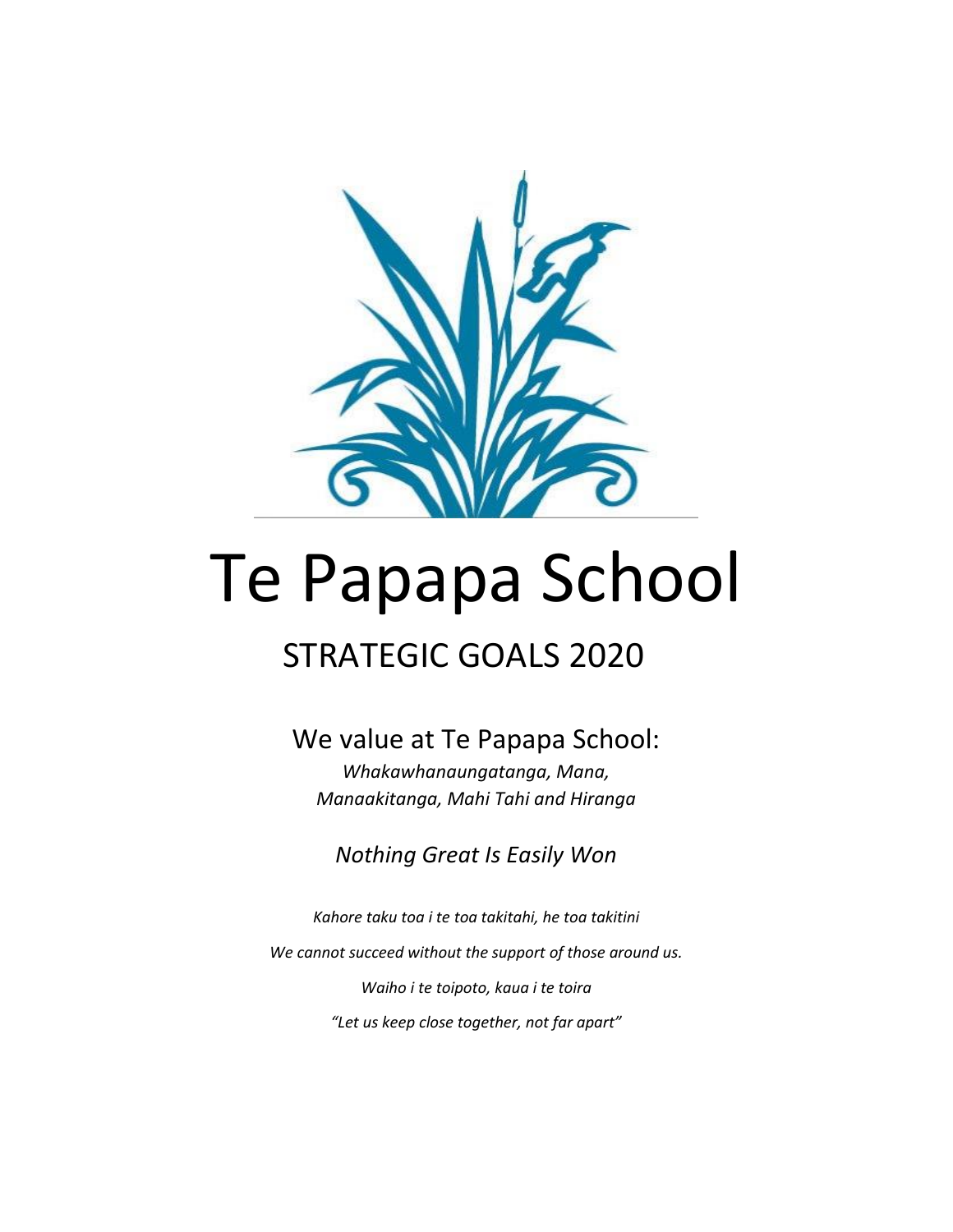

# Te Papapa School

# STRATEGIC GOALS 2020

## We value at Te Papapa School:

*Whakawhanaungatanga, Mana, Manaakitanga, Mahi Tahi and Hiranga*

*Nothing Great Is Easily Won*

*Kahore taku toa i te toa takitahi, he toa takitini We cannot succeed without the support of those around us. Waiho i te toipoto, kaua i te toira "Let us keep close together, not far apart"*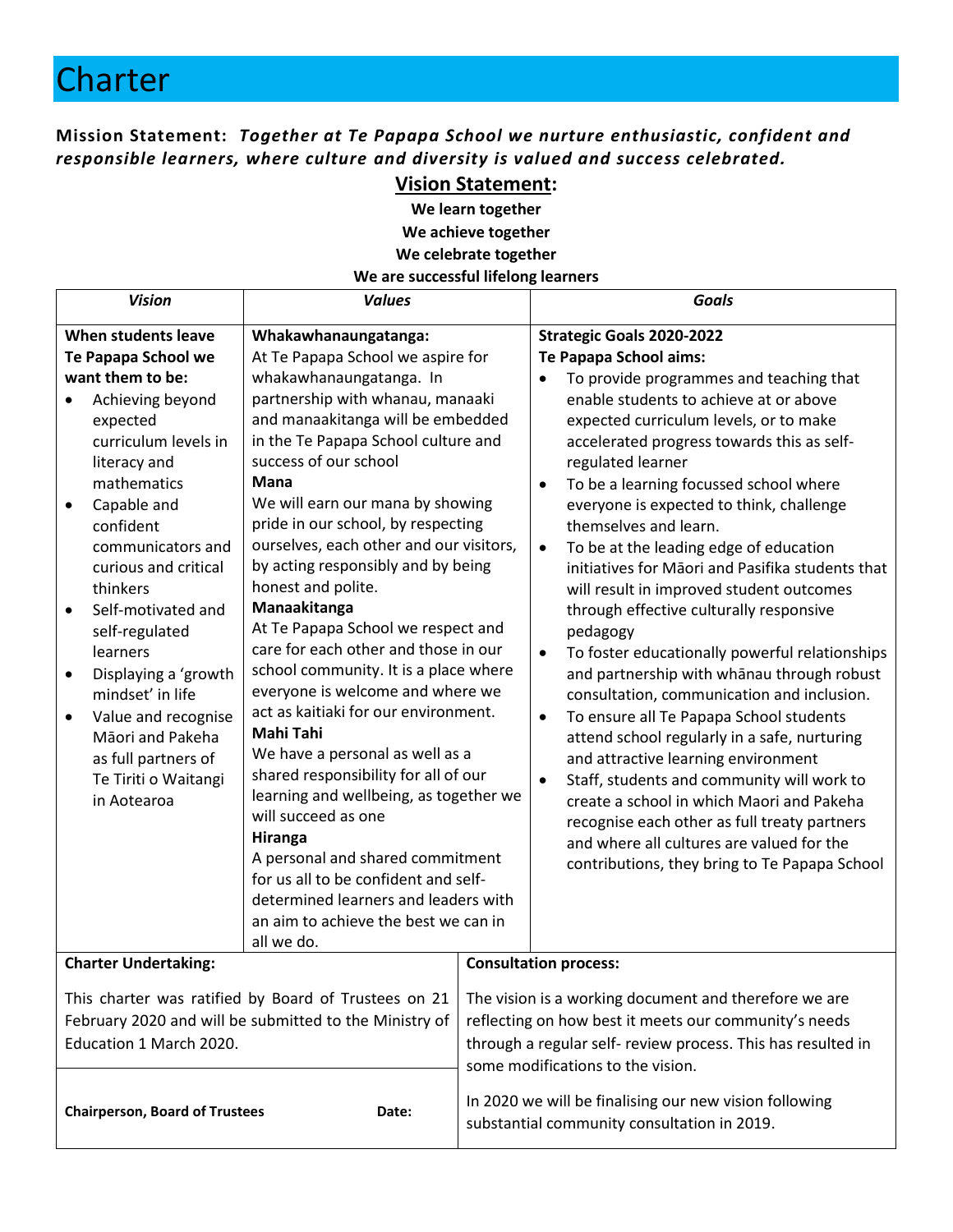## **Charter**

**Mission Statement:** *Together at Te Papapa School we nurture enthusiastic, confident and responsible learners, where culture and diversity is valued and success celebrated.*

#### **Vision Statement:**

**We learn together We achieve together We celebrate together**

#### **We are successful lifelong learners**

| <b>Vision</b>                                                                                                                                                                                                                                                                                                                                                                                                                                       | <b>Values</b>                                                                                                                                                                                                                                                                                                                                                                                                                                                                                                                                                                                                                                                                                                                                                                                                                                                                                                                                                                    | <b>Goals</b>                                                                                                                                                                                                        |                                                                                                                                                                                                                                                                                                                                                                                                                                                                                                                                                                                                                                                                                                                                                                                                                                                                                                                                                                                                                                                                                                                                                                        |
|-----------------------------------------------------------------------------------------------------------------------------------------------------------------------------------------------------------------------------------------------------------------------------------------------------------------------------------------------------------------------------------------------------------------------------------------------------|----------------------------------------------------------------------------------------------------------------------------------------------------------------------------------------------------------------------------------------------------------------------------------------------------------------------------------------------------------------------------------------------------------------------------------------------------------------------------------------------------------------------------------------------------------------------------------------------------------------------------------------------------------------------------------------------------------------------------------------------------------------------------------------------------------------------------------------------------------------------------------------------------------------------------------------------------------------------------------|---------------------------------------------------------------------------------------------------------------------------------------------------------------------------------------------------------------------|------------------------------------------------------------------------------------------------------------------------------------------------------------------------------------------------------------------------------------------------------------------------------------------------------------------------------------------------------------------------------------------------------------------------------------------------------------------------------------------------------------------------------------------------------------------------------------------------------------------------------------------------------------------------------------------------------------------------------------------------------------------------------------------------------------------------------------------------------------------------------------------------------------------------------------------------------------------------------------------------------------------------------------------------------------------------------------------------------------------------------------------------------------------------|
| When students leave<br>Te Papapa School we<br>want them to be:<br>Achieving beyond<br>expected<br>curriculum levels in<br>literacy and<br>mathematics<br>Capable and<br>confident<br>communicators and<br>curious and critical<br>thinkers<br>Self-motivated and<br>self-regulated<br>learners<br>Displaying a 'growth<br>mindset' in life<br>Value and recognise<br>Māori and Pakeha<br>as full partners of<br>Te Tiriti o Waitangi<br>in Aotearoa | Whakawhanaungatanga:<br>At Te Papapa School we aspire for<br>whakawhanaungatanga. In<br>partnership with whanau, manaaki<br>and manaakitanga will be embedded<br>in the Te Papapa School culture and<br>success of our school<br>Mana<br>We will earn our mana by showing<br>pride in our school, by respecting<br>ourselves, each other and our visitors,<br>by acting responsibly and by being<br>honest and polite.<br>Manaakitanga<br>At Te Papapa School we respect and<br>care for each other and those in our<br>school community. It is a place where<br>everyone is welcome and where we<br>act as kaitiaki for our environment.<br><b>Mahi Tahi</b><br>We have a personal as well as a<br>shared responsibility for all of our<br>learning and wellbeing, as together we<br>will succeed as one<br>Hiranga<br>A personal and shared commitment<br>for us all to be confident and self-<br>determined learners and leaders with<br>an aim to achieve the best we can in |                                                                                                                                                                                                                     | <b>Strategic Goals 2020-2022</b><br>Te Papapa School aims:<br>To provide programmes and teaching that<br>enable students to achieve at or above<br>expected curriculum levels, or to make<br>accelerated progress towards this as self-<br>regulated learner<br>To be a learning focussed school where<br>$\bullet$<br>everyone is expected to think, challenge<br>themselves and learn.<br>To be at the leading edge of education<br>$\bullet$<br>initiatives for Māori and Pasifika students that<br>will result in improved student outcomes<br>through effective culturally responsive<br>pedagogy<br>To foster educationally powerful relationships<br>$\bullet$<br>and partnership with whānau through robust<br>consultation, communication and inclusion.<br>To ensure all Te Papapa School students<br>$\bullet$<br>attend school regularly in a safe, nurturing<br>and attractive learning environment<br>Staff, students and community will work to<br>$\bullet$<br>create a school in which Maori and Pakeha<br>recognise each other as full treaty partners<br>and where all cultures are valued for the<br>contributions, they bring to Te Papapa School |
|                                                                                                                                                                                                                                                                                                                                                                                                                                                     | all we do.                                                                                                                                                                                                                                                                                                                                                                                                                                                                                                                                                                                                                                                                                                                                                                                                                                                                                                                                                                       |                                                                                                                                                                                                                     | <b>Consultation process:</b>                                                                                                                                                                                                                                                                                                                                                                                                                                                                                                                                                                                                                                                                                                                                                                                                                                                                                                                                                                                                                                                                                                                                           |
| <b>Charter Undertaking:</b>                                                                                                                                                                                                                                                                                                                                                                                                                         |                                                                                                                                                                                                                                                                                                                                                                                                                                                                                                                                                                                                                                                                                                                                                                                                                                                                                                                                                                                  |                                                                                                                                                                                                                     |                                                                                                                                                                                                                                                                                                                                                                                                                                                                                                                                                                                                                                                                                                                                                                                                                                                                                                                                                                                                                                                                                                                                                                        |
| This charter was ratified by Board of Trustees on 21<br>February 2020 and will be submitted to the Ministry of<br>Education 1 March 2020.                                                                                                                                                                                                                                                                                                           |                                                                                                                                                                                                                                                                                                                                                                                                                                                                                                                                                                                                                                                                                                                                                                                                                                                                                                                                                                                  | The vision is a working document and therefore we are<br>reflecting on how best it meets our community's needs<br>through a regular self- review process. This has resulted in<br>some modifications to the vision. |                                                                                                                                                                                                                                                                                                                                                                                                                                                                                                                                                                                                                                                                                                                                                                                                                                                                                                                                                                                                                                                                                                                                                                        |
| <b>Chairperson, Board of Trustees</b><br>Date:                                                                                                                                                                                                                                                                                                                                                                                                      |                                                                                                                                                                                                                                                                                                                                                                                                                                                                                                                                                                                                                                                                                                                                                                                                                                                                                                                                                                                  | In 2020 we will be finalising our new vision following<br>substantial community consultation in 2019.                                                                                                               |                                                                                                                                                                                                                                                                                                                                                                                                                                                                                                                                                                                                                                                                                                                                                                                                                                                                                                                                                                                                                                                                                                                                                                        |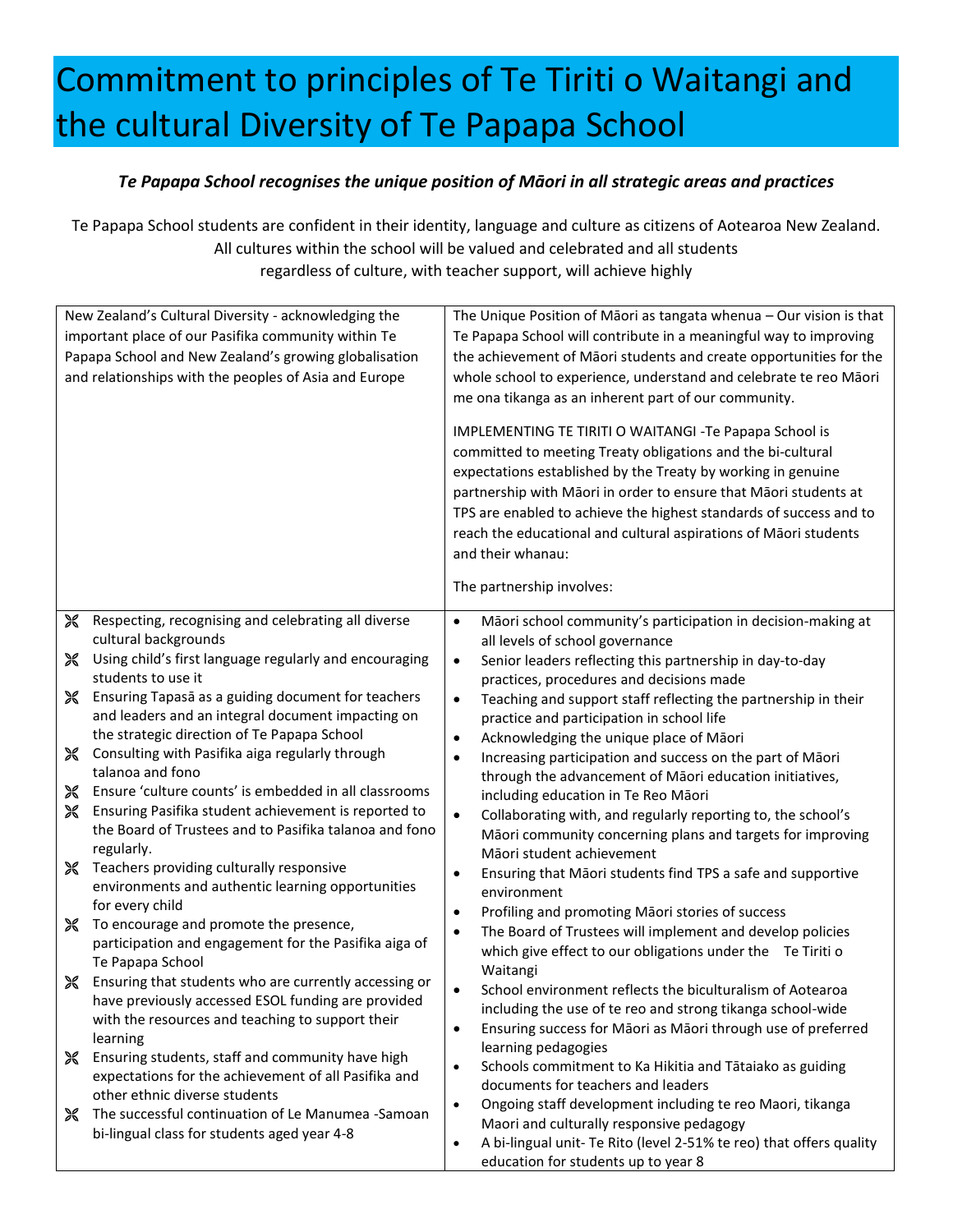# Commitment to principles of Te Tiriti o Waitangi and the cultural Diversity of Te Papapa School

#### *Te Papapa School recognises the unique position of Māori in all strategic areas and practices*

Te Papapa School students are confident in their identity, language and culture as citizens of Aotearoa New Zealand. All cultures within the school will be valued and celebrated and all students regardless of culture, with teacher support, will achieve highly

| New Zealand's Cultural Diversity - acknowledging the<br>important place of our Pasifika community within Te<br>Papapa School and New Zealand's growing globalisation<br>and relationships with the peoples of Asia and Europe |                                                                                                               | The Unique Position of Māori as tangata whenua - Our vision is that<br>Te Papapa School will contribute in a meaningful way to improving<br>the achievement of Māori students and create opportunities for the<br>whole school to experience, understand and celebrate te reo Māori<br>me ona tikanga as an inherent part of our community.<br>IMPLEMENTING TE TIRITI O WAITANGI -Te Papapa School is<br>committed to meeting Treaty obligations and the bi-cultural<br>expectations established by the Treaty by working in genuine<br>partnership with Māori in order to ensure that Māori students at |  |
|-------------------------------------------------------------------------------------------------------------------------------------------------------------------------------------------------------------------------------|---------------------------------------------------------------------------------------------------------------|----------------------------------------------------------------------------------------------------------------------------------------------------------------------------------------------------------------------------------------------------------------------------------------------------------------------------------------------------------------------------------------------------------------------------------------------------------------------------------------------------------------------------------------------------------------------------------------------------------|--|
|                                                                                                                                                                                                                               |                                                                                                               | TPS are enabled to achieve the highest standards of success and to<br>reach the educational and cultural aspirations of Māori students<br>and their whanau:                                                                                                                                                                                                                                                                                                                                                                                                                                              |  |
|                                                                                                                                                                                                                               |                                                                                                               | The partnership involves:                                                                                                                                                                                                                                                                                                                                                                                                                                                                                                                                                                                |  |
| X                                                                                                                                                                                                                             | Respecting, recognising and celebrating all diverse                                                           | Māori school community's participation in decision-making at<br>$\bullet$                                                                                                                                                                                                                                                                                                                                                                                                                                                                                                                                |  |
|                                                                                                                                                                                                                               | cultural backgrounds                                                                                          | all levels of school governance                                                                                                                                                                                                                                                                                                                                                                                                                                                                                                                                                                          |  |
| ※                                                                                                                                                                                                                             | Using child's first language regularly and encouraging<br>students to use it                                  | Senior leaders reflecting this partnership in day-to-day<br>$\bullet$                                                                                                                                                                                                                                                                                                                                                                                                                                                                                                                                    |  |
| ※                                                                                                                                                                                                                             | Ensuring Tapasa as a guiding document for teachers                                                            | practices, procedures and decisions made<br>Teaching and support staff reflecting the partnership in their<br>$\bullet$                                                                                                                                                                                                                                                                                                                                                                                                                                                                                  |  |
|                                                                                                                                                                                                                               | and leaders and an integral document impacting on                                                             | practice and participation in school life                                                                                                                                                                                                                                                                                                                                                                                                                                                                                                                                                                |  |
|                                                                                                                                                                                                                               | the strategic direction of Te Papapa School                                                                   | Acknowledging the unique place of Māori<br>$\bullet$                                                                                                                                                                                                                                                                                                                                                                                                                                                                                                                                                     |  |
| ※                                                                                                                                                                                                                             | Consulting with Pasifika aiga regularly through                                                               | Increasing participation and success on the part of Māori<br>$\bullet$                                                                                                                                                                                                                                                                                                                                                                                                                                                                                                                                   |  |
|                                                                                                                                                                                                                               | talanoa and fono                                                                                              | through the advancement of Māori education initiatives,                                                                                                                                                                                                                                                                                                                                                                                                                                                                                                                                                  |  |
| X<br>X                                                                                                                                                                                                                        | Ensure 'culture counts' is embedded in all classrooms<br>Ensuring Pasifika student achievement is reported to | including education in Te Reo Māori                                                                                                                                                                                                                                                                                                                                                                                                                                                                                                                                                                      |  |
|                                                                                                                                                                                                                               | the Board of Trustees and to Pasifika talanoa and fono<br>regularly.                                          | Collaborating with, and regularly reporting to, the school's<br>$\bullet$<br>Māori community concerning plans and targets for improving                                                                                                                                                                                                                                                                                                                                                                                                                                                                  |  |
| ※                                                                                                                                                                                                                             | Teachers providing culturally responsive                                                                      | Māori student achievement<br>$\bullet$                                                                                                                                                                                                                                                                                                                                                                                                                                                                                                                                                                   |  |
|                                                                                                                                                                                                                               | environments and authentic learning opportunities                                                             | Ensuring that Māori students find TPS a safe and supportive<br>environment                                                                                                                                                                                                                                                                                                                                                                                                                                                                                                                               |  |
|                                                                                                                                                                                                                               | for every child                                                                                               | Profiling and promoting Māori stories of success<br>$\bullet$                                                                                                                                                                                                                                                                                                                                                                                                                                                                                                                                            |  |
| ※                                                                                                                                                                                                                             | To encourage and promote the presence,                                                                        | The Board of Trustees will implement and develop policies<br>$\bullet$                                                                                                                                                                                                                                                                                                                                                                                                                                                                                                                                   |  |
|                                                                                                                                                                                                                               | participation and engagement for the Pasifika aiga of<br>Te Papapa School                                     | which give effect to our obligations under the Te Tiriti o                                                                                                                                                                                                                                                                                                                                                                                                                                                                                                                                               |  |
| ✕                                                                                                                                                                                                                             | Ensuring that students who are currently accessing or                                                         | Waitangi                                                                                                                                                                                                                                                                                                                                                                                                                                                                                                                                                                                                 |  |
|                                                                                                                                                                                                                               | have previously accessed ESOL funding are provided                                                            | School environment reflects the biculturalism of Aotearoa<br>$\bullet$                                                                                                                                                                                                                                                                                                                                                                                                                                                                                                                                   |  |
|                                                                                                                                                                                                                               | with the resources and teaching to support their                                                              | including the use of te reo and strong tikanga school-wide<br>Ensuring success for Māori as Māori through use of preferred<br>$\bullet$                                                                                                                                                                                                                                                                                                                                                                                                                                                                  |  |
|                                                                                                                                                                                                                               | learning                                                                                                      | learning pedagogies                                                                                                                                                                                                                                                                                                                                                                                                                                                                                                                                                                                      |  |
| X                                                                                                                                                                                                                             | Ensuring students, staff and community have high                                                              | Schools commitment to Ka Hikitia and Tātaiako as guiding<br>$\bullet$                                                                                                                                                                                                                                                                                                                                                                                                                                                                                                                                    |  |
|                                                                                                                                                                                                                               | expectations for the achievement of all Pasifika and<br>other ethnic diverse students                         | documents for teachers and leaders                                                                                                                                                                                                                                                                                                                                                                                                                                                                                                                                                                       |  |
| ※                                                                                                                                                                                                                             | The successful continuation of Le Manumea -Samoan                                                             | Ongoing staff development including te reo Maori, tikanga<br>$\bullet$                                                                                                                                                                                                                                                                                                                                                                                                                                                                                                                                   |  |
|                                                                                                                                                                                                                               | bi-lingual class for students aged year 4-8                                                                   | Maori and culturally responsive pedagogy                                                                                                                                                                                                                                                                                                                                                                                                                                                                                                                                                                 |  |
|                                                                                                                                                                                                                               |                                                                                                               | A bi-lingual unit- Te Rito (level 2-51% te reo) that offers quality<br>$\bullet$<br>education for students up to year 8                                                                                                                                                                                                                                                                                                                                                                                                                                                                                  |  |
|                                                                                                                                                                                                                               |                                                                                                               |                                                                                                                                                                                                                                                                                                                                                                                                                                                                                                                                                                                                          |  |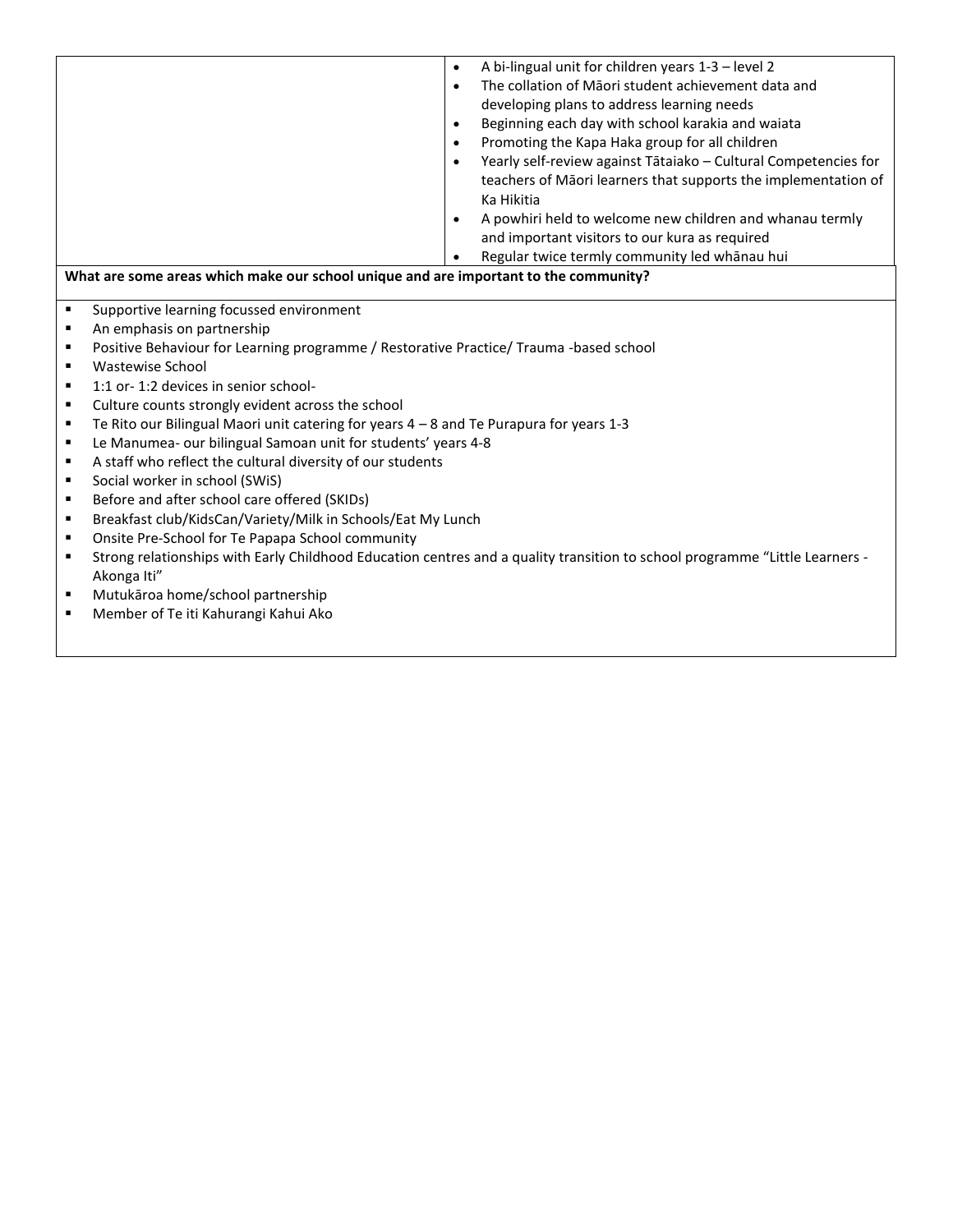|   |                                                                                                                             | $\bullet$ | A bi-lingual unit for children years 1-3 - level 2              |  |  |
|---|-----------------------------------------------------------------------------------------------------------------------------|-----------|-----------------------------------------------------------------|--|--|
|   |                                                                                                                             | $\bullet$ | The collation of Maori student achievement data and             |  |  |
|   |                                                                                                                             |           | developing plans to address learning needs                      |  |  |
|   |                                                                                                                             | $\bullet$ | Beginning each day with school karakia and waiata               |  |  |
|   |                                                                                                                             | $\bullet$ | Promoting the Kapa Haka group for all children                  |  |  |
|   |                                                                                                                             |           | Yearly self-review against Tātaiako - Cultural Competencies for |  |  |
|   |                                                                                                                             |           | teachers of Māori learners that supports the implementation of  |  |  |
|   |                                                                                                                             |           | Ka Hikitia                                                      |  |  |
|   |                                                                                                                             | $\bullet$ | A powhiri held to welcome new children and whanau termly        |  |  |
|   |                                                                                                                             |           | and important visitors to our kura as required                  |  |  |
|   |                                                                                                                             |           | Regular twice termly community led whānau hui                   |  |  |
|   | What are some areas which make our school unique and are important to the community?                                        |           |                                                                 |  |  |
|   |                                                                                                                             |           |                                                                 |  |  |
|   | ٠<br>Supportive learning focussed environment                                                                               |           |                                                                 |  |  |
| ٠ | An emphasis on partnership                                                                                                  |           |                                                                 |  |  |
| ٠ | Positive Behaviour for Learning programme / Restorative Practice/ Trauma -based school                                      |           |                                                                 |  |  |
| ٠ | Wastewise School                                                                                                            |           |                                                                 |  |  |
| ٠ | 1:1 or-1:2 devices in senior school-                                                                                        |           |                                                                 |  |  |
| ٠ | Culture counts strongly evident across the school                                                                           |           |                                                                 |  |  |
| ٠ | Te Rito our Bilingual Maori unit catering for years 4 - 8 and Te Purapura for years 1-3                                     |           |                                                                 |  |  |
| ٠ | Le Manumea- our bilingual Samoan unit for students' years 4-8                                                               |           |                                                                 |  |  |
| ٠ | A staff who reflect the cultural diversity of our students                                                                  |           |                                                                 |  |  |
| ٠ | Social worker in school (SWiS)                                                                                              |           |                                                                 |  |  |
| ٠ | Before and after school care offered (SKIDs)                                                                                |           |                                                                 |  |  |
| ٠ | Breakfast club/KidsCan/Variety/Milk in Schools/Eat My Lunch                                                                 |           |                                                                 |  |  |
| ٠ | Onsite Pre-School for Te Papapa School community                                                                            |           |                                                                 |  |  |
| ٠ | Strong relationships with Early Childhood Education centres and a quality transition to school programme "Little Learners - |           |                                                                 |  |  |
|   | Akonga Iti"                                                                                                                 |           |                                                                 |  |  |
| ٠ | Mutukāroa home/school partnership                                                                                           |           |                                                                 |  |  |
| п | Member of Te iti Kahurangi Kahui Ako                                                                                        |           |                                                                 |  |  |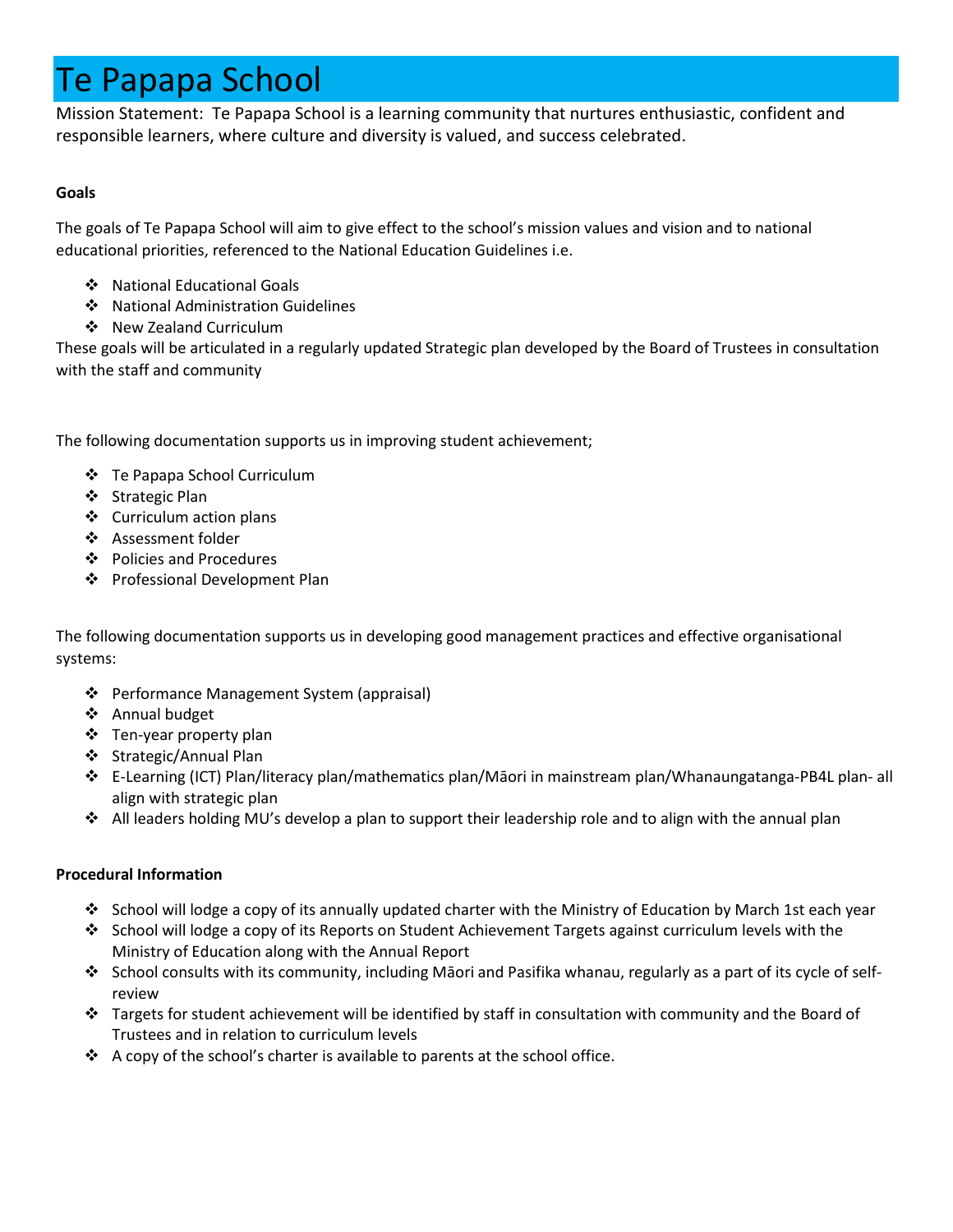# Te Papapa School

Mission Statement: Te Papapa School is a learning community that nurtures enthusiastic, confident and responsible learners, where culture and diversity is valued, and success celebrated.

#### **Goals**

The goals of Te Papapa School will aim to give effect to the school's mission values and vision and to national educational priorities, referenced to the National Education Guidelines i.e.

- ❖ National Educational Goals
- ❖ National Administration Guidelines
- ❖ New Zealand Curriculum

These goals will be articulated in a regularly updated Strategic plan developed by the Board of Trustees in consultation with the staff and community

The following documentation supports us in improving student achievement;

- ❖ Te Papapa School Curriculum
- ❖ Strategic Plan
- ❖ Curriculum action plans
- ❖ Assessment folder
- ❖ Policies and Procedures
- ❖ Professional Development Plan

The following documentation supports us in developing good management practices and effective organisational systems:

- ❖ Performance Management System (appraisal)
- ❖ Annual budget
- ❖ Ten-year property plan
- ❖ Strategic/Annual Plan
- ❖ E-Learning (ICT) Plan/literacy plan/mathematics plan/Māori in mainstream plan/Whanaungatanga-PB4L plan- all align with strategic plan
- ❖ All leaders holding MU's develop a plan to support their leadership role and to align with the annual plan

#### **Procedural Information**

- ❖ School will lodge a copy of its annually updated charter with the Ministry of Education by March 1st each year
- ❖ School will lodge a copy of its Reports on Student Achievement Targets against curriculum levels with the Ministry of Education along with the Annual Report
- ❖ School consults with its community, including Māori and Pasifika whanau, regularly as a part of its cycle of selfreview
- ❖ Targets for student achievement will be identified by staff in consultation with community and the Board of Trustees and in relation to curriculum levels
- $\cdot$  A copy of the school's charter is available to parents at the school office.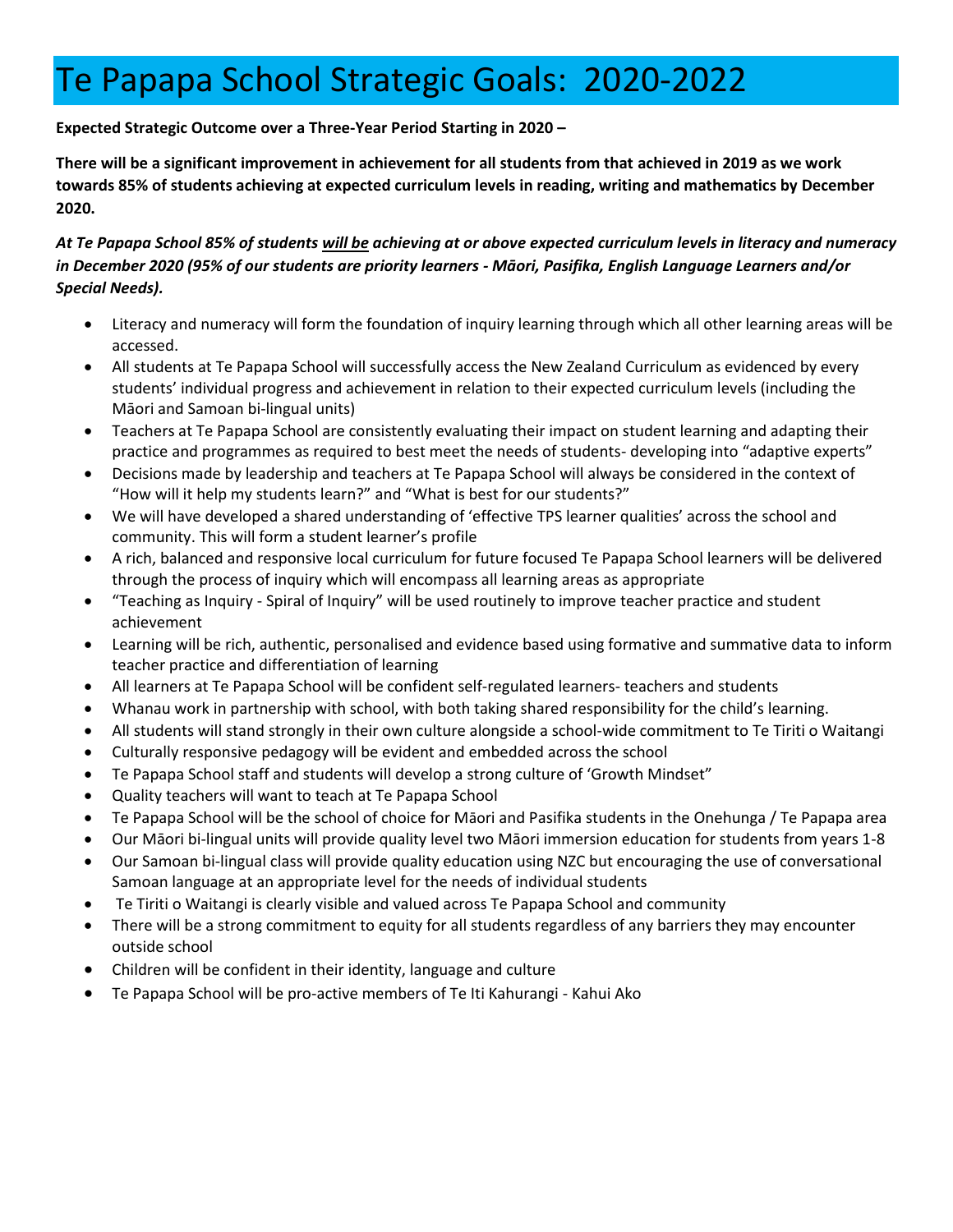# Te Papapa School Strategic Goals: 2020-2022

#### **Expected Strategic Outcome over a Three-Year Period Starting in 2020 –**

**There will be a significant improvement in achievement for all students from that achieved in 2019 as we work towards 85% of students achieving at expected curriculum levels in reading, writing and mathematics by December 2020.**

#### *At Te Papapa School 85% of students will be achieving at or above expected curriculum levels in literacy and numeracy in December 2020 (95% of our students are priority learners - Māori, Pasifika, English Language Learners and/or Special Needs).*

- Literacy and numeracy will form the foundation of inquiry learning through which all other learning areas will be accessed.
- All students at Te Papapa School will successfully access the New Zealand Curriculum as evidenced by every students' individual progress and achievement in relation to their expected curriculum levels (including the Māori and Samoan bi-lingual units)
- Teachers at Te Papapa School are consistently evaluating their impact on student learning and adapting their practice and programmes as required to best meet the needs of students- developing into "adaptive experts"
- Decisions made by leadership and teachers at Te Papapa School will always be considered in the context of "How will it help my students learn?" and "What is best for our students?"
- We will have developed a shared understanding of 'effective TPS learner qualities' across the school and community. This will form a student learner's profile
- A rich, balanced and responsive local curriculum for future focused Te Papapa School learners will be delivered through the process of inquiry which will encompass all learning areas as appropriate
- "Teaching as Inquiry Spiral of Inquiry" will be used routinely to improve teacher practice and student achievement
- Learning will be rich, authentic, personalised and evidence based using formative and summative data to inform teacher practice and differentiation of learning
- All learners at Te Papapa School will be confident self-regulated learners- teachers and students
- Whanau work in partnership with school, with both taking shared responsibility for the child's learning.
- All students will stand strongly in their own culture alongside a school-wide commitment to Te Tiriti o Waitangi
- Culturally responsive pedagogy will be evident and embedded across the school
- Te Papapa School staff and students will develop a strong culture of 'Growth Mindset"
- Quality teachers will want to teach at Te Papapa School
- Te Papapa School will be the school of choice for Māori and Pasifika students in the Onehunga / Te Papapa area
- Our Māori bi-lingual units will provide quality level two Māori immersion education for students from years 1-8
- Our Samoan bi-lingual class will provide quality education using NZC but encouraging the use of conversational Samoan language at an appropriate level for the needs of individual students
- Te Tiriti o Waitangi is clearly visible and valued across Te Papapa School and community
- There will be a strong commitment to equity for all students regardless of any barriers they may encounter outside school
- Children will be confident in their identity, language and culture
- Te Papapa School will be pro-active members of Te Iti Kahurangi Kahui Ako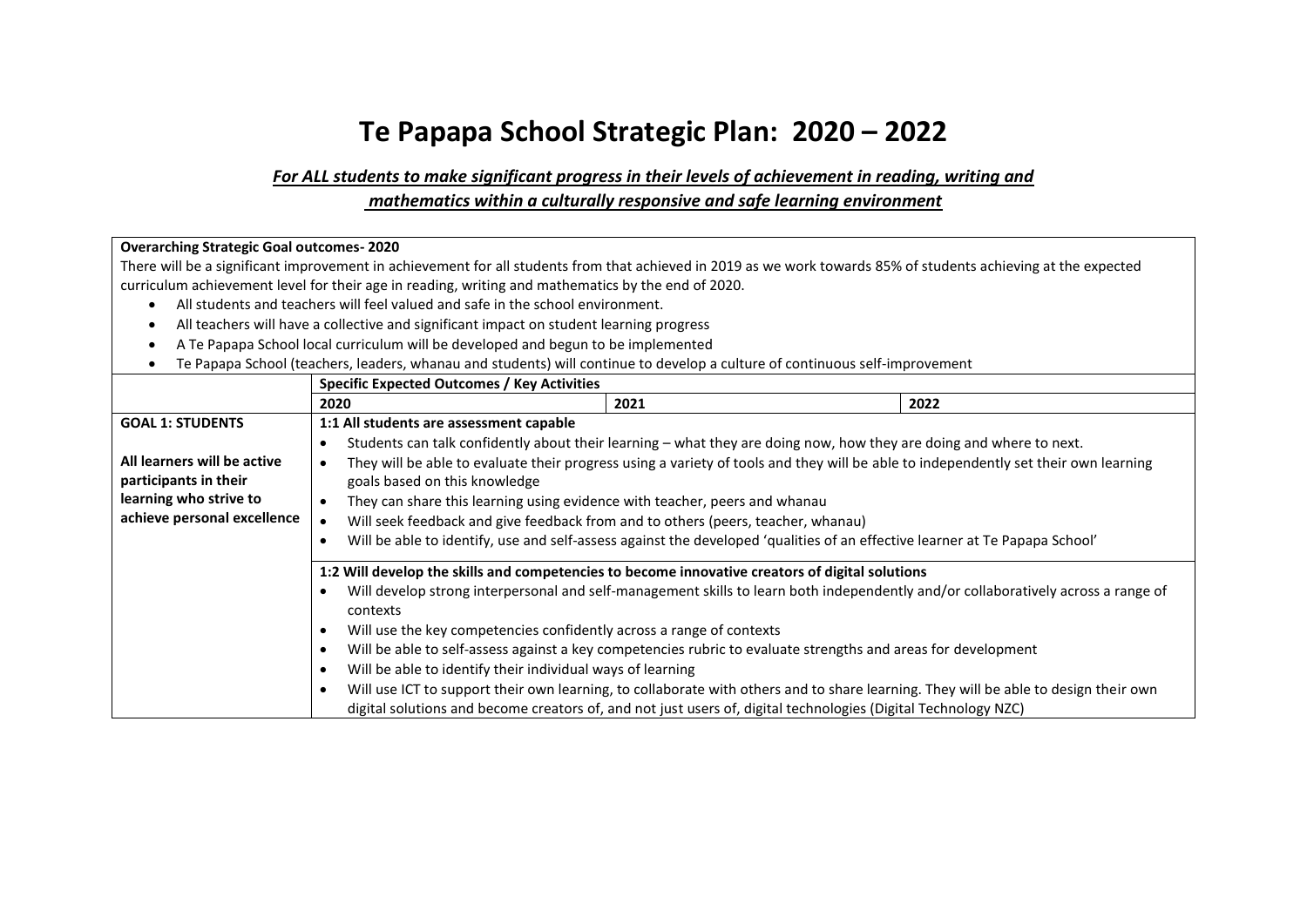## **Te Papapa School Strategic Plan: 2020 – 2022**

#### *For ALL students to make significant progress in their levels of achievement in reading, writing and mathematics within a culturally responsive and safe learning environment*

#### **Overarching Strategic Goal outcomes- 2020**

There will be a significant improvement in achievement for all students from that achieved in 2019 as we work towards 85% of students achieving at the expected curriculum achievement level for their age in reading, writing and mathematics by the end of 2020.

- All students and teachers will feel valued and safe in the school environment.
- All teachers will have a collective and significant impact on student learning progress
- A Te Papapa School local curriculum will be developed and begun to be implemented
- Te Papapa School (teachers, leaders, whanau and students) will continue to develop a culture of continuous self-improvement

|                             | <b>Specific Expected Outcomes / Key Activities</b>                                                                                               |                                                                                                                     |      |  |
|-----------------------------|--------------------------------------------------------------------------------------------------------------------------------------------------|---------------------------------------------------------------------------------------------------------------------|------|--|
|                             | 2020                                                                                                                                             | 2021                                                                                                                | 2022 |  |
| <b>GOAL 1: STUDENTS</b>     | 1:1 All students are assessment capable                                                                                                          |                                                                                                                     |      |  |
|                             | ٠                                                                                                                                                | Students can talk confidently about their learning - what they are doing now, how they are doing and where to next. |      |  |
| All learners will be active | They will be able to evaluate their progress using a variety of tools and they will be able to independently set their own learning<br>٠         |                                                                                                                     |      |  |
| participants in their       | goals based on this knowledge                                                                                                                    |                                                                                                                     |      |  |
| learning who strive to      | They can share this learning using evidence with teacher, peers and whanau                                                                       |                                                                                                                     |      |  |
| achieve personal excellence | Will seek feedback and give feedback from and to others (peers, teacher, whanau)                                                                 |                                                                                                                     |      |  |
|                             | Will be able to identify, use and self-assess against the developed 'qualities of an effective learner at Te Papapa School'<br>$\bullet$         |                                                                                                                     |      |  |
|                             | 1:2 Will develop the skills and competencies to become innovative creators of digital solutions                                                  |                                                                                                                     |      |  |
|                             | Will develop strong interpersonal and self-management skills to learn both independently and/or collaboratively across a range of<br>contexts    |                                                                                                                     |      |  |
|                             | Will use the key competencies confidently across a range of contexts<br>$\bullet$                                                                |                                                                                                                     |      |  |
|                             | Will be able to self-assess against a key competencies rubric to evaluate strengths and areas for development<br>$\bullet$                       |                                                                                                                     |      |  |
|                             | Will be able to identify their individual ways of learning<br>$\bullet$                                                                          |                                                                                                                     |      |  |
|                             | Will use ICT to support their own learning, to collaborate with others and to share learning. They will be able to design their own<br>$\bullet$ |                                                                                                                     |      |  |
|                             | digital solutions and become creators of, and not just users of, digital technologies (Digital Technology NZC)                                   |                                                                                                                     |      |  |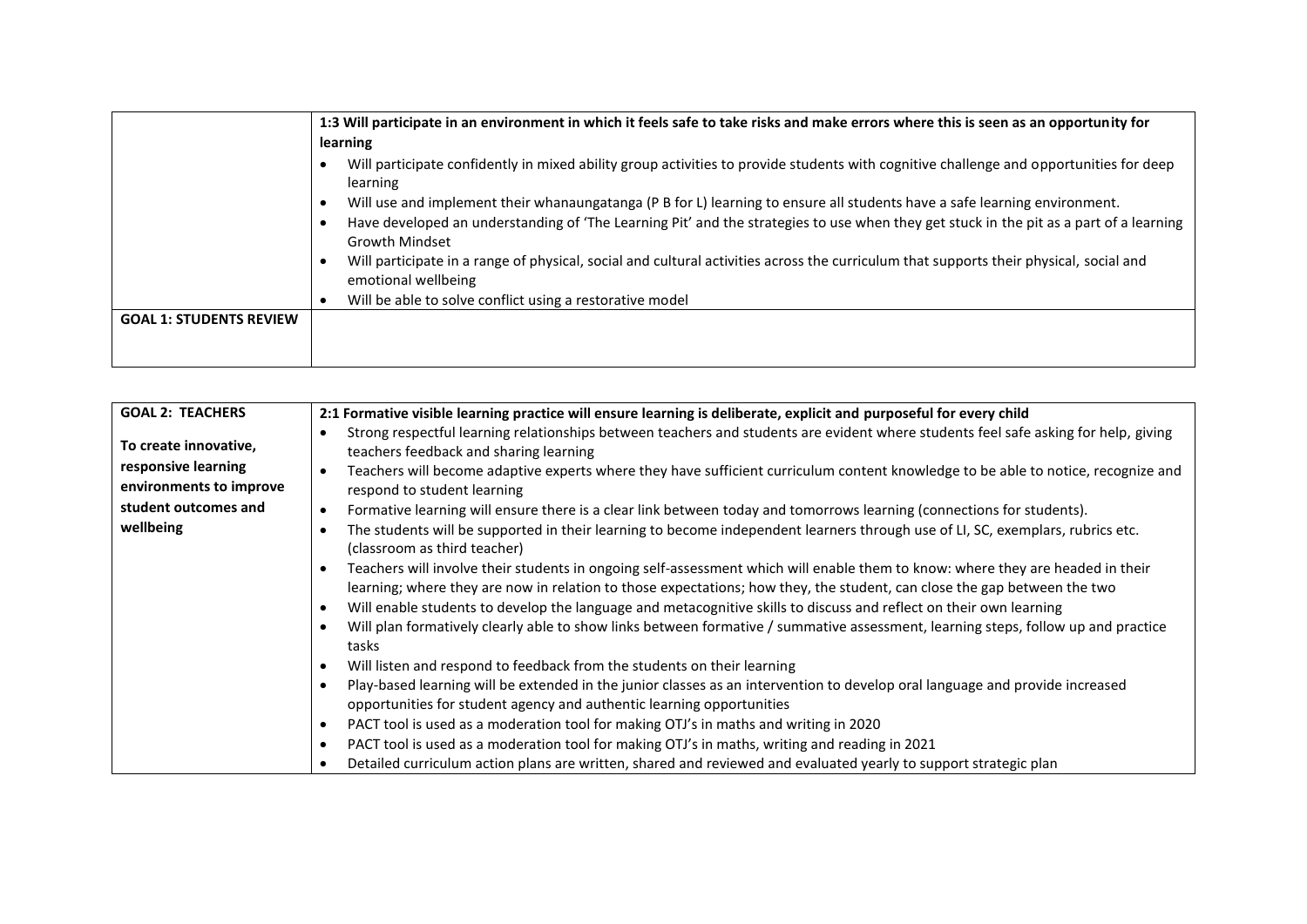|                                | 1:3 Will participate in an environment in which it feels safe to take risks and make errors where this is seen as an opportunity for<br>learning                                                                                                                                             |  |  |
|--------------------------------|----------------------------------------------------------------------------------------------------------------------------------------------------------------------------------------------------------------------------------------------------------------------------------------------|--|--|
|                                | Will participate confidently in mixed ability group activities to provide students with cognitive challenge and opportunities for deep<br>learning                                                                                                                                           |  |  |
|                                | Will use and implement their whanaungatanga (P B for L) learning to ensure all students have a safe learning environment.<br>Have developed an understanding of 'The Learning Pit' and the strategies to use when they get stuck in the pit as a part of a learning<br><b>Growth Mindset</b> |  |  |
|                                | Will participate in a range of physical, social and cultural activities across the curriculum that supports their physical, social and<br>emotional wellbeing                                                                                                                                |  |  |
|                                | Will be able to solve conflict using a restorative model                                                                                                                                                                                                                                     |  |  |
| <b>GOAL 1: STUDENTS REVIEW</b> |                                                                                                                                                                                                                                                                                              |  |  |
|                                |                                                                                                                                                                                                                                                                                              |  |  |

| <b>GOAL 2: TEACHERS</b> | 2:1 Formative visible learning practice will ensure learning is deliberate, explicit and purposeful for every child                                                                                                                                                                                                                                                              |  |  |
|-------------------------|----------------------------------------------------------------------------------------------------------------------------------------------------------------------------------------------------------------------------------------------------------------------------------------------------------------------------------------------------------------------------------|--|--|
| To create innovative,   | Strong respectful learning relationships between teachers and students are evident where students feel safe asking for help, giving<br>teachers feedback and sharing learning                                                                                                                                                                                                    |  |  |
| responsive learning     | Teachers will become adaptive experts where they have sufficient curriculum content knowledge to be able to notice, recognize and                                                                                                                                                                                                                                                |  |  |
| environments to improve | respond to student learning                                                                                                                                                                                                                                                                                                                                                      |  |  |
| student outcomes and    | Formative learning will ensure there is a clear link between today and tomorrows learning (connections for students).                                                                                                                                                                                                                                                            |  |  |
| wellbeing               | The students will be supported in their learning to become independent learners through use of LI, SC, exemplars, rubrics etc.<br>(classroom as third teacher)                                                                                                                                                                                                                   |  |  |
|                         | Teachers will involve their students in ongoing self-assessment which will enable them to know: where they are headed in their<br>learning; where they are now in relation to those expectations; how they, the student, can close the gap between the two<br>Will enable students to develop the language and metacognitive skills to discuss and reflect on their own learning |  |  |
|                         | Will plan formatively clearly able to show links between formative / summative assessment, learning steps, follow up and practice<br>tasks                                                                                                                                                                                                                                       |  |  |
|                         | Will listen and respond to feedback from the students on their learning                                                                                                                                                                                                                                                                                                          |  |  |
|                         | Play-based learning will be extended in the junior classes as an intervention to develop oral language and provide increased<br>opportunities for student agency and authentic learning opportunities                                                                                                                                                                            |  |  |
|                         | PACT tool is used as a moderation tool for making OTJ's in maths and writing in 2020                                                                                                                                                                                                                                                                                             |  |  |
|                         | PACT tool is used as a moderation tool for making OTJ's in maths, writing and reading in 2021                                                                                                                                                                                                                                                                                    |  |  |
|                         | Detailed curriculum action plans are written, shared and reviewed and evaluated yearly to support strategic plan                                                                                                                                                                                                                                                                 |  |  |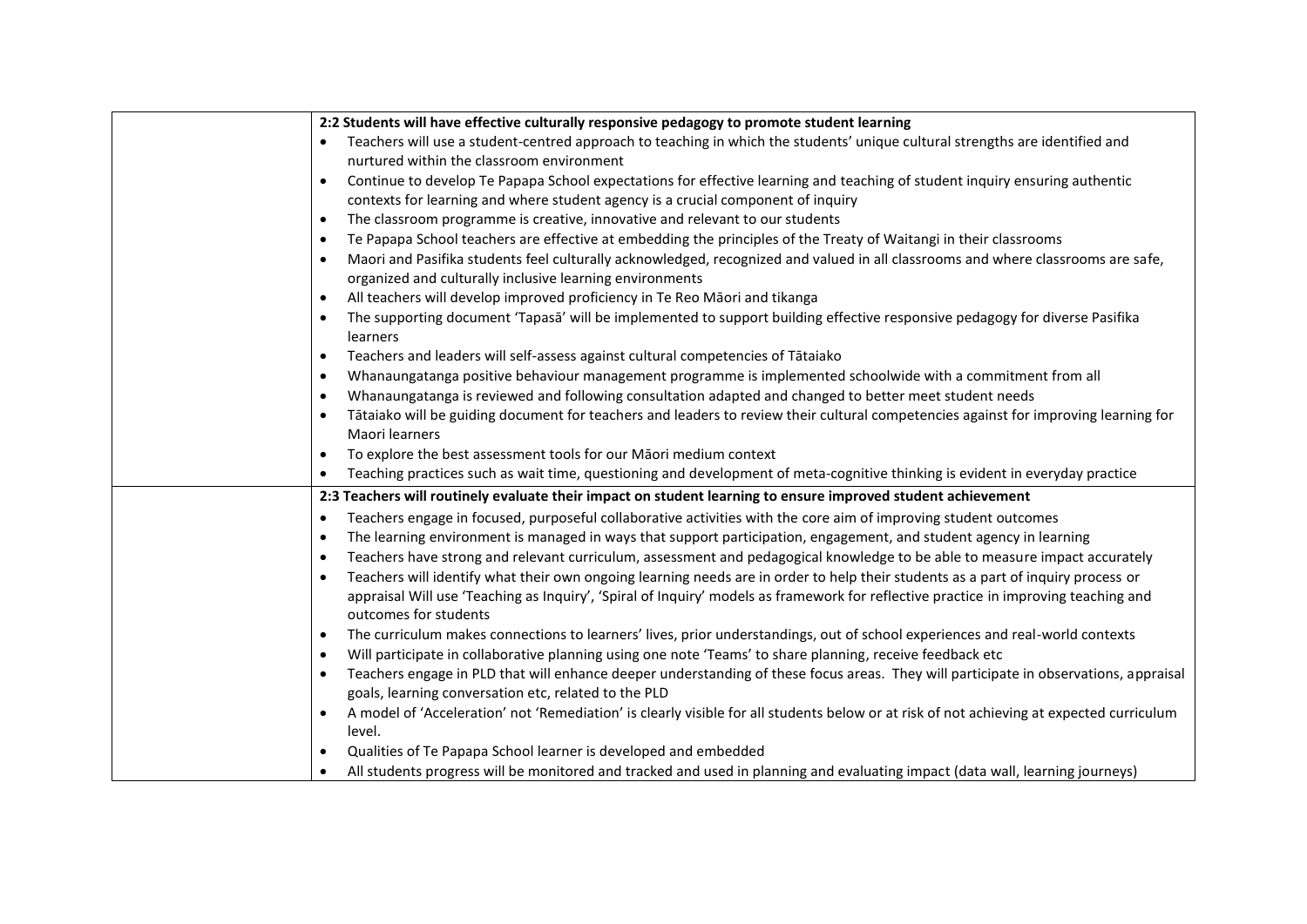| 2:2 Students will have effective culturally responsive pedagogy to promote student learning                                                                                                  |
|----------------------------------------------------------------------------------------------------------------------------------------------------------------------------------------------|
| Teachers will use a student-centred approach to teaching in which the students' unique cultural strengths are identified and<br>$\bullet$                                                    |
| nurtured within the classroom environment                                                                                                                                                    |
| Continue to develop Te Papapa School expectations for effective learning and teaching of student inquiry ensuring authentic                                                                  |
| contexts for learning and where student agency is a crucial component of inquiry                                                                                                             |
| The classroom programme is creative, innovative and relevant to our students<br>$\bullet$                                                                                                    |
| Te Papapa School teachers are effective at embedding the principles of the Treaty of Waitangi in their classrooms<br>$\bullet$                                                               |
| Maori and Pasifika students feel culturally acknowledged, recognized and valued in all classrooms and where classrooms are safe,<br>$\bullet$                                                |
| organized and culturally inclusive learning environments                                                                                                                                     |
| All teachers will develop improved proficiency in Te Reo Māori and tikanga<br>$\bullet$                                                                                                      |
| The supporting document 'Tapasa' will be implemented to support building effective responsive pedagogy for diverse Pasifika<br>learners                                                      |
| Teachers and leaders will self-assess against cultural competencies of Tātaiako<br>$\bullet$                                                                                                 |
| Whanaungatanga positive behaviour management programme is implemented schoolwide with a commitment from all<br>$\bullet$                                                                     |
| Whanaungatanga is reviewed and following consultation adapted and changed to better meet student needs<br>$\bullet$                                                                          |
| Tātaiako will be guiding document for teachers and leaders to review their cultural competencies against for improving learning for<br>$\bullet$                                             |
| Maori learners                                                                                                                                                                               |
| To explore the best assessment tools for our Māori medium context                                                                                                                            |
| Teaching practices such as wait time, questioning and development of meta-cognitive thinking is evident in everyday practice<br>$\bullet$                                                    |
| 2:3 Teachers will routinely evaluate their impact on student learning to ensure improved student achievement                                                                                 |
| Teachers engage in focused, purposeful collaborative activities with the core aim of improving student outcomes<br>$\bullet$                                                                 |
| The learning environment is managed in ways that support participation, engagement, and student agency in learning<br>$\bullet$                                                              |
| Teachers have strong and relevant curriculum, assessment and pedagogical knowledge to be able to measure impact accurately<br>$\bullet$                                                      |
| Teachers will identify what their own ongoing learning needs are in order to help their students as a part of inquiry process or                                                             |
| appraisal Will use 'Teaching as Inquiry', 'Spiral of Inquiry' models as framework for reflective practice in improving teaching and                                                          |
| outcomes for students                                                                                                                                                                        |
| The curriculum makes connections to learners' lives, prior understandings, out of school experiences and real-world contexts<br>$\bullet$                                                    |
| Will participate in collaborative planning using one note 'Teams' to share planning, receive feedback etc<br>$\bullet$                                                                       |
| Teachers engage in PLD that will enhance deeper understanding of these focus areas. They will participate in observations, appraisal<br>goals, learning conversation etc, related to the PLD |
| A model of 'Acceleration' not 'Remediation' is clearly visible for all students below or at risk of not achieving at expected curriculum<br>$\bullet$                                        |
| level.                                                                                                                                                                                       |
| Qualities of Te Papapa School learner is developed and embedded                                                                                                                              |
| All students progress will be monitored and tracked and used in planning and evaluating impact (data wall, learning journeys)                                                                |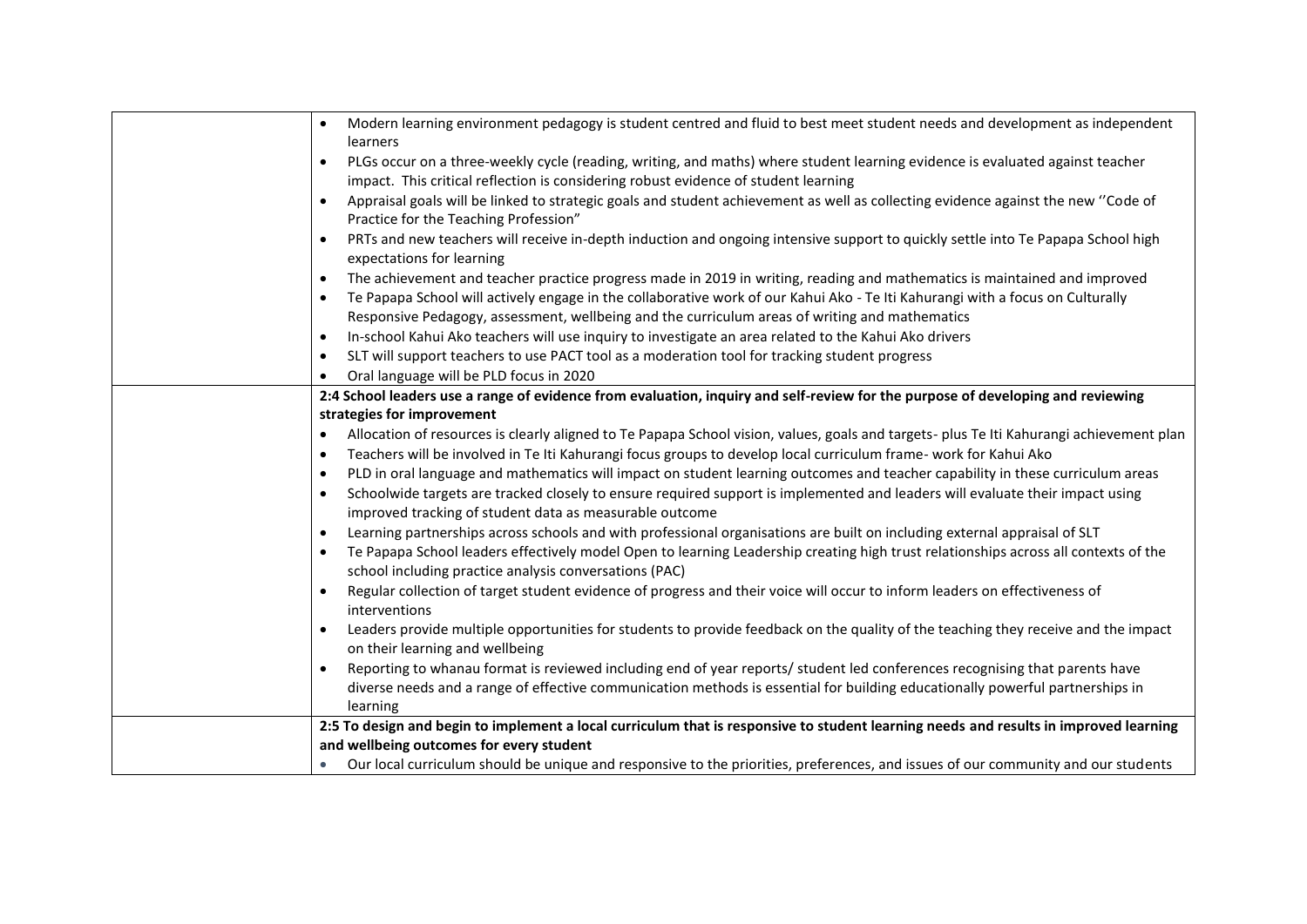| Modern learning environment pedagogy is student centred and fluid to best meet student needs and development as independent<br>learners                                                                                                                      |
|--------------------------------------------------------------------------------------------------------------------------------------------------------------------------------------------------------------------------------------------------------------|
| PLGs occur on a three-weekly cycle (reading, writing, and maths) where student learning evidence is evaluated against teacher<br>$\bullet$                                                                                                                   |
| impact. This critical reflection is considering robust evidence of student learning                                                                                                                                                                          |
| Appraisal goals will be linked to strategic goals and student achievement as well as collecting evidence against the new "Code of                                                                                                                            |
| Practice for the Teaching Profession"                                                                                                                                                                                                                        |
| PRTs and new teachers will receive in-depth induction and ongoing intensive support to quickly settle into Te Papapa School high                                                                                                                             |
| expectations for learning                                                                                                                                                                                                                                    |
| The achievement and teacher practice progress made in 2019 in writing, reading and mathematics is maintained and improved<br>$\bullet$                                                                                                                       |
| Te Papapa School will actively engage in the collaborative work of our Kahui Ako - Te Iti Kahurangi with a focus on Culturally                                                                                                                               |
| Responsive Pedagogy, assessment, wellbeing and the curriculum areas of writing and mathematics                                                                                                                                                               |
| In-school Kahui Ako teachers will use inquiry to investigate an area related to the Kahui Ako drivers<br>$\bullet$                                                                                                                                           |
| SLT will support teachers to use PACT tool as a moderation tool for tracking student progress<br>$\bullet$                                                                                                                                                   |
| Oral language will be PLD focus in 2020<br>$\bullet$                                                                                                                                                                                                         |
| 2:4 School leaders use a range of evidence from evaluation, inquiry and self-review for the purpose of developing and reviewing                                                                                                                              |
| strategies for improvement                                                                                                                                                                                                                                   |
| Allocation of resources is clearly aligned to Te Papapa School vision, values, goals and targets-plus Te Iti Kahurangi achievement plan<br>$\bullet$                                                                                                         |
| Teachers will be involved in Te Iti Kahurangi focus groups to develop local curriculum frame- work for Kahui Ako<br>$\bullet$                                                                                                                                |
| PLD in oral language and mathematics will impact on student learning outcomes and teacher capability in these curriculum areas<br>$\bullet$                                                                                                                  |
| Schoolwide targets are tracked closely to ensure required support is implemented and leaders will evaluate their impact using<br>$\bullet$                                                                                                                   |
| improved tracking of student data as measurable outcome                                                                                                                                                                                                      |
| Learning partnerships across schools and with professional organisations are built on including external appraisal of SLT<br>$\bullet$                                                                                                                       |
| Te Papapa School leaders effectively model Open to learning Leadership creating high trust relationships across all contexts of the<br>$\bullet$                                                                                                             |
| school including practice analysis conversations (PAC)                                                                                                                                                                                                       |
| Regular collection of target student evidence of progress and their voice will occur to inform leaders on effectiveness of                                                                                                                                   |
| interventions                                                                                                                                                                                                                                                |
| Leaders provide multiple opportunities for students to provide feedback on the quality of the teaching they receive and the impact                                                                                                                           |
| on their learning and wellbeing                                                                                                                                                                                                                              |
| Reporting to whanau format is reviewed including end of year reports/ student led conferences recognising that parents have<br>diverse needs and a range of effective communication methods is essential for building educationally powerful partnerships in |
|                                                                                                                                                                                                                                                              |
| learning<br>2:5 To design and begin to implement a local curriculum that is responsive to student learning needs and results in improved learning                                                                                                            |
| and wellbeing outcomes for every student                                                                                                                                                                                                                     |
| Our local curriculum should be unique and responsive to the priorities, preferences, and issues of our community and our students                                                                                                                            |
|                                                                                                                                                                                                                                                              |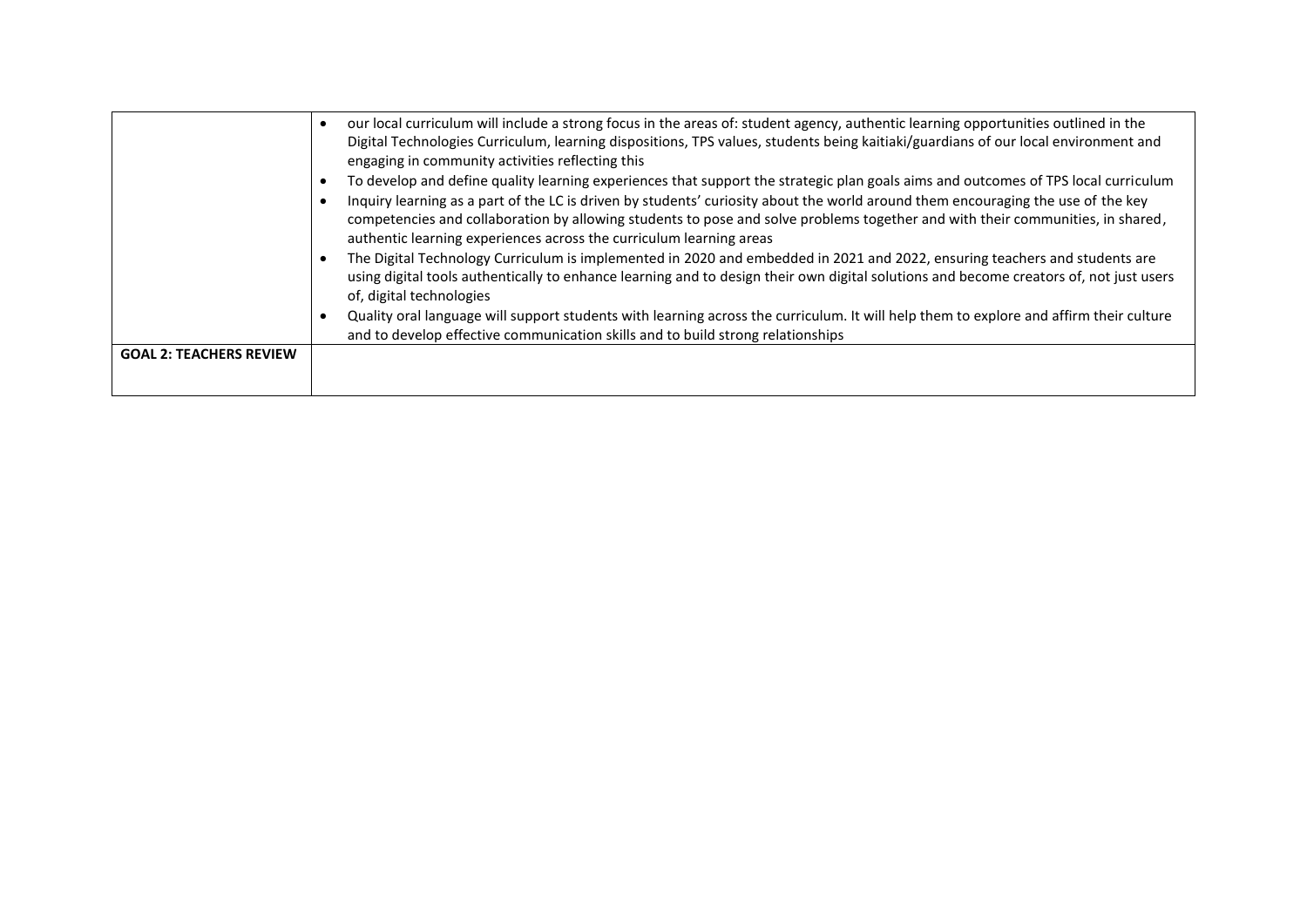|                                | our local curriculum will include a strong focus in the areas of: student agency, authentic learning opportunities outlined in the<br>٠<br>Digital Technologies Curriculum, learning dispositions, TPS values, students being kaitiaki/guardians of our local environment and<br>engaging in community activities reflecting this                                                                                                                                                                 |
|--------------------------------|---------------------------------------------------------------------------------------------------------------------------------------------------------------------------------------------------------------------------------------------------------------------------------------------------------------------------------------------------------------------------------------------------------------------------------------------------------------------------------------------------|
|                                | To develop and define quality learning experiences that support the strategic plan goals aims and outcomes of TPS local curriculum<br>٠<br>Inquiry learning as a part of the LC is driven by students' curiosity about the world around them encouraging the use of the key<br>$\bullet$<br>competencies and collaboration by allowing students to pose and solve problems together and with their communities, in shared,<br>authentic learning experiences across the curriculum learning areas |
|                                | The Digital Technology Curriculum is implemented in 2020 and embedded in 2021 and 2022, ensuring teachers and students are<br>using digital tools authentically to enhance learning and to design their own digital solutions and become creators of, not just users<br>of, digital technologies                                                                                                                                                                                                  |
|                                | Quality oral language will support students with learning across the curriculum. It will help them to explore and affirm their culture<br>$\bullet$<br>and to develop effective communication skills and to build strong relationships                                                                                                                                                                                                                                                            |
| <b>GOAL 2: TEACHERS REVIEW</b> |                                                                                                                                                                                                                                                                                                                                                                                                                                                                                                   |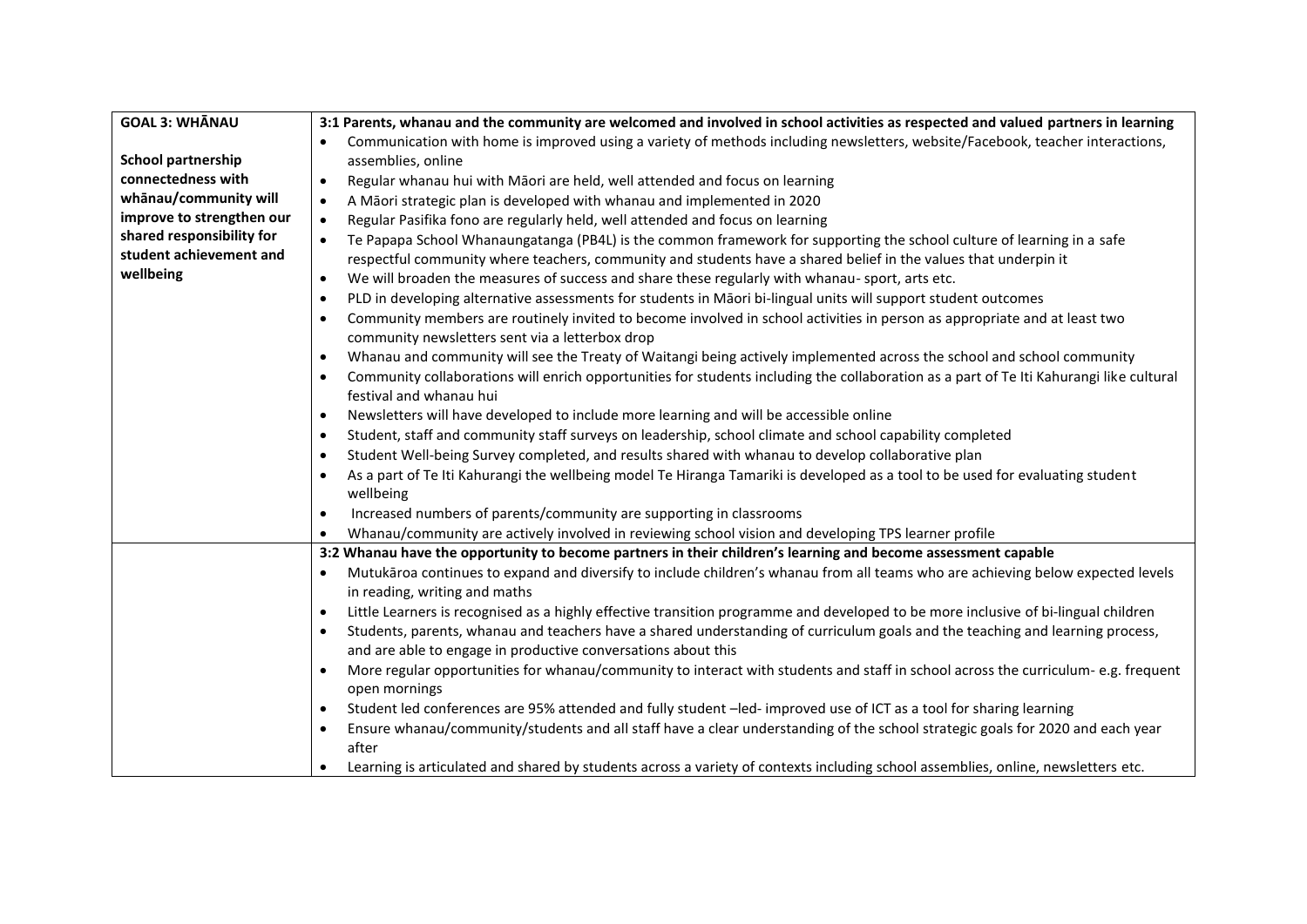| <b>GOAL 3: WHANAU</b>     | 3:1 Parents, whanau and the community are welcomed and involved in school activities as respected and valued partners in learning                                |  |  |  |
|---------------------------|------------------------------------------------------------------------------------------------------------------------------------------------------------------|--|--|--|
|                           | Communication with home is improved using a variety of methods including newsletters, website/Facebook, teacher interactions,                                    |  |  |  |
| <b>School partnership</b> | assemblies, online                                                                                                                                               |  |  |  |
| connectedness with        | Regular whanau hui with Māori are held, well attended and focus on learning<br>$\bullet$                                                                         |  |  |  |
| whānau/community will     | A Māori strategic plan is developed with whanau and implemented in 2020<br>$\bullet$                                                                             |  |  |  |
| improve to strengthen our | Regular Pasifika fono are regularly held, well attended and focus on learning<br>$\bullet$                                                                       |  |  |  |
| shared responsibility for | Te Papapa School Whanaungatanga (PB4L) is the common framework for supporting the school culture of learning in a safe<br>$\bullet$                              |  |  |  |
| student achievement and   | respectful community where teachers, community and students have a shared belief in the values that underpin it                                                  |  |  |  |
| wellbeing                 | We will broaden the measures of success and share these regularly with whanau-sport, arts etc.<br>$\bullet$                                                      |  |  |  |
|                           | PLD in developing alternative assessments for students in Māori bi-lingual units will support student outcomes<br>$\bullet$                                      |  |  |  |
|                           | Community members are routinely invited to become involved in school activities in person as appropriate and at least two<br>$\bullet$                           |  |  |  |
|                           | community newsletters sent via a letterbox drop                                                                                                                  |  |  |  |
|                           | Whanau and community will see the Treaty of Waitangi being actively implemented across the school and school community<br>$\bullet$                              |  |  |  |
|                           | Community collaborations will enrich opportunities for students including the collaboration as a part of Te Iti Kahurangi like cultural<br>$\bullet$             |  |  |  |
|                           | festival and whanau hui                                                                                                                                          |  |  |  |
|                           | Newsletters will have developed to include more learning and will be accessible online<br>$\bullet$                                                              |  |  |  |
|                           | Student, staff and community staff surveys on leadership, school climate and school capability completed<br>$\bullet$                                            |  |  |  |
|                           | Student Well-being Survey completed, and results shared with whanau to develop collaborative plan<br>$\bullet$                                                   |  |  |  |
|                           | As a part of Te Iti Kahurangi the wellbeing model Te Hiranga Tamariki is developed as a tool to be used for evaluating student                                   |  |  |  |
|                           | wellbeing                                                                                                                                                        |  |  |  |
|                           | Increased numbers of parents/community are supporting in classrooms<br>$\bullet$                                                                                 |  |  |  |
|                           | Whanau/community are actively involved in reviewing school vision and developing TPS learner profile                                                             |  |  |  |
|                           | 3:2 Whanau have the opportunity to become partners in their children's learning and become assessment capable                                                    |  |  |  |
|                           | Mutukāroa continues to expand and diversify to include children's whanau from all teams who are achieving below expected levels                                  |  |  |  |
|                           | in reading, writing and maths                                                                                                                                    |  |  |  |
|                           | Little Learners is recognised as a highly effective transition programme and developed to be more inclusive of bi-lingual children<br>$\bullet$                  |  |  |  |
|                           | Students, parents, whanau and teachers have a shared understanding of curriculum goals and the teaching and learning process,<br>$\bullet$                       |  |  |  |
|                           | and are able to engage in productive conversations about this                                                                                                    |  |  |  |
|                           | More regular opportunities for whanau/community to interact with students and staff in school across the curriculum- e.g. frequent<br>$\bullet$<br>open mornings |  |  |  |
|                           | Student led conferences are 95% attended and fully student -led- improved use of ICT as a tool for sharing learning<br>$\bullet$                                 |  |  |  |
|                           | Ensure whanau/community/students and all staff have a clear understanding of the school strategic goals for 2020 and each year<br>$\bullet$                      |  |  |  |
|                           | after                                                                                                                                                            |  |  |  |
|                           | Learning is articulated and shared by students across a variety of contexts including school assemblies, online, newsletters etc.                                |  |  |  |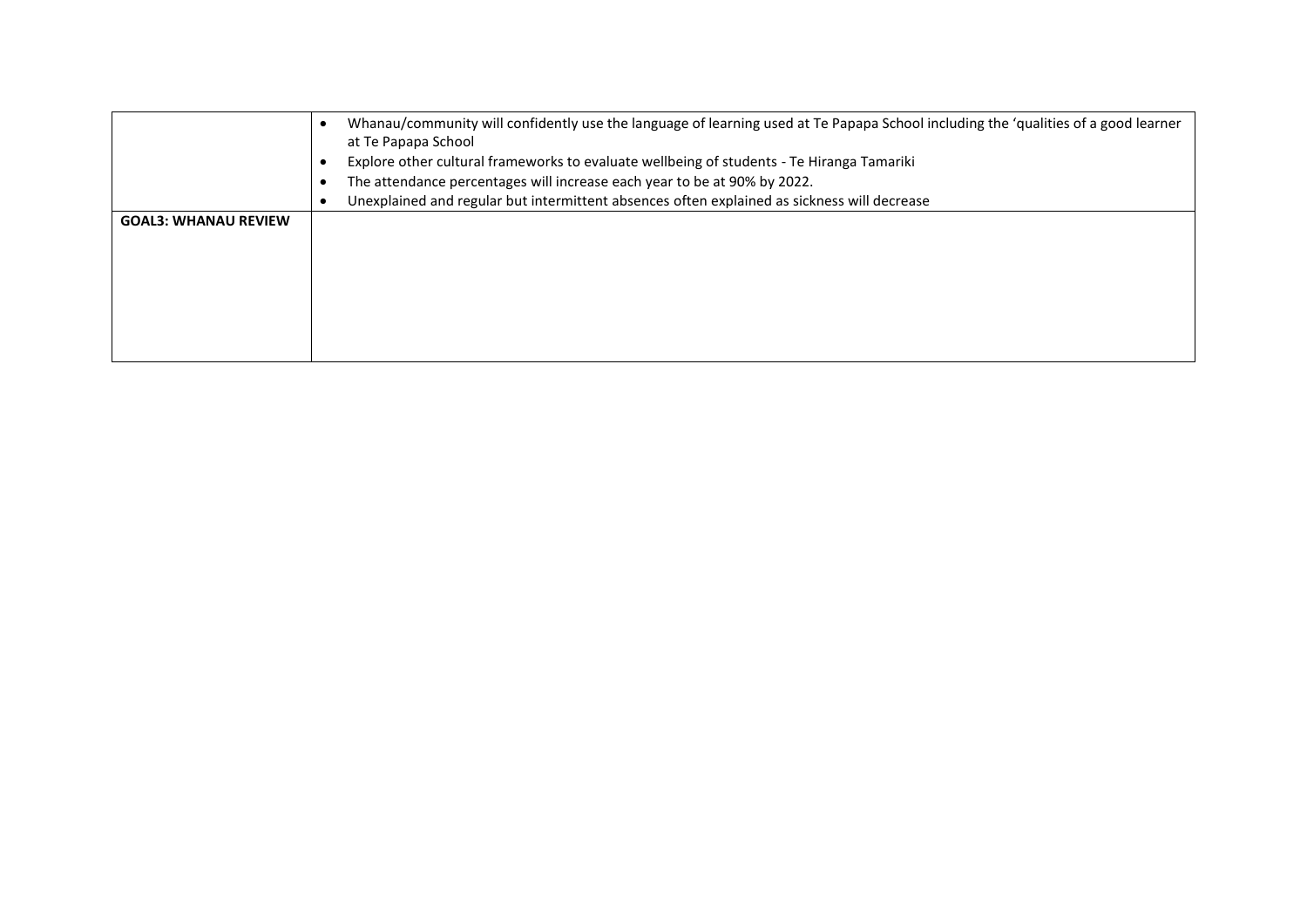| Whanau/community will confidently use the language of learning used at Te Papapa School including the 'qualities of a good learner<br>at Te Papapa School<br>Explore other cultural frameworks to evaluate wellbeing of students - Te Hiranga Tamariki<br>The attendance percentages will increase each year to be at 90% by 2022.<br>Unexplained and regular but intermittent absences often explained as sickness will decrease |
|-----------------------------------------------------------------------------------------------------------------------------------------------------------------------------------------------------------------------------------------------------------------------------------------------------------------------------------------------------------------------------------------------------------------------------------|
|                                                                                                                                                                                                                                                                                                                                                                                                                                   |
|                                                                                                                                                                                                                                                                                                                                                                                                                                   |
|                                                                                                                                                                                                                                                                                                                                                                                                                                   |
|                                                                                                                                                                                                                                                                                                                                                                                                                                   |
|                                                                                                                                                                                                                                                                                                                                                                                                                                   |
|                                                                                                                                                                                                                                                                                                                                                                                                                                   |
|                                                                                                                                                                                                                                                                                                                                                                                                                                   |
|                                                                                                                                                                                                                                                                                                                                                                                                                                   |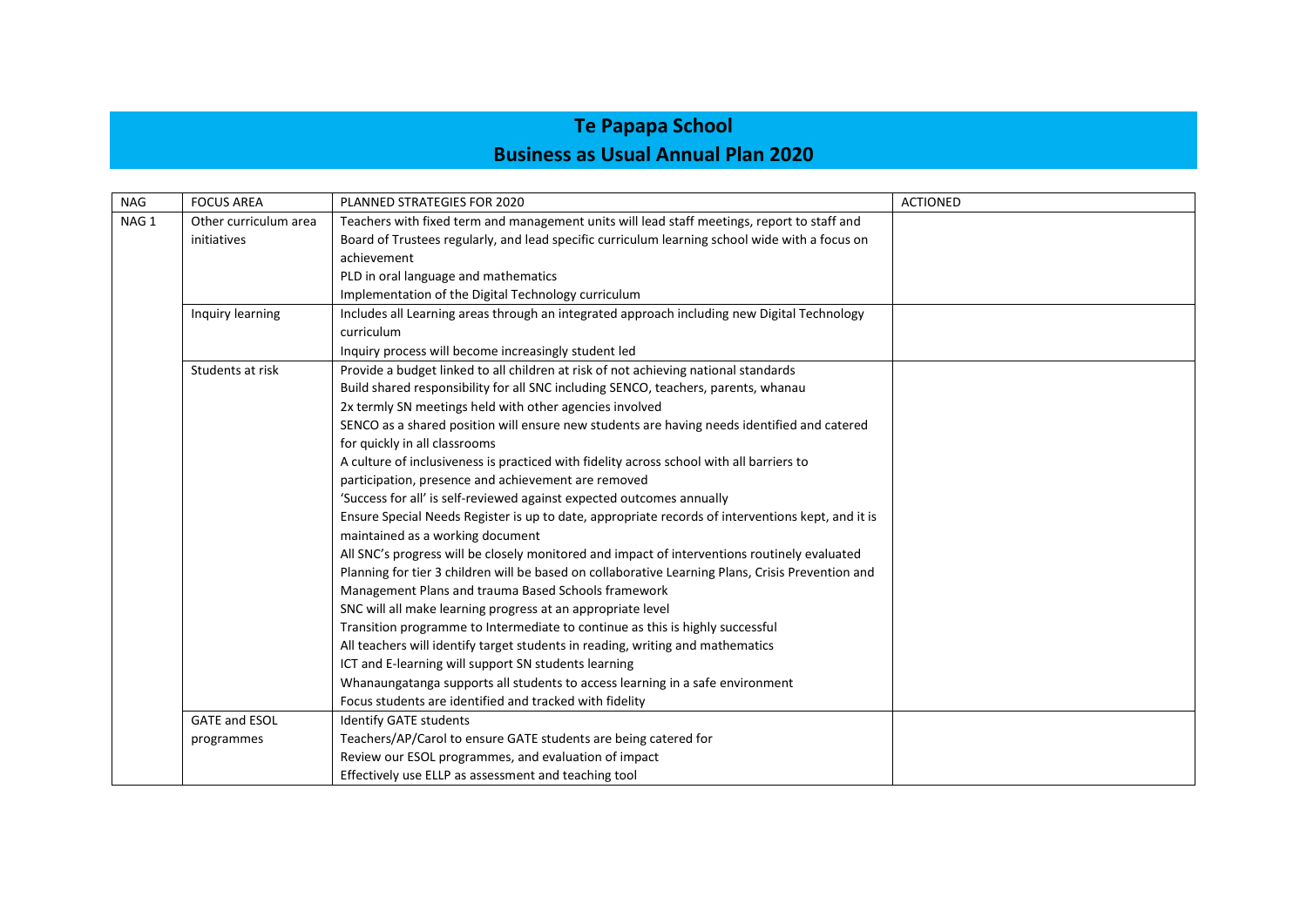### **Te Papapa School Business as Usual Annual Plan 2020**

| <b>NAG</b>       | <b>FOCUS AREA</b>     | PLANNED STRATEGIES FOR 2020                                                                       | <b>ACTIONED</b> |
|------------------|-----------------------|---------------------------------------------------------------------------------------------------|-----------------|
| NAG <sub>1</sub> | Other curriculum area | Teachers with fixed term and management units will lead staff meetings, report to staff and       |                 |
|                  | initiatives           | Board of Trustees regularly, and lead specific curriculum learning school wide with a focus on    |                 |
|                  |                       | achievement                                                                                       |                 |
|                  |                       | PLD in oral language and mathematics                                                              |                 |
|                  |                       | Implementation of the Digital Technology curriculum                                               |                 |
|                  | Inquiry learning      | Includes all Learning areas through an integrated approach including new Digital Technology       |                 |
|                  |                       | curriculum                                                                                        |                 |
|                  |                       | Inquiry process will become increasingly student led                                              |                 |
|                  | Students at risk      | Provide a budget linked to all children at risk of not achieving national standards               |                 |
|                  |                       | Build shared responsibility for all SNC including SENCO, teachers, parents, whanau                |                 |
|                  |                       | 2x termly SN meetings held with other agencies involved                                           |                 |
|                  |                       | SENCO as a shared position will ensure new students are having needs identified and catered       |                 |
|                  |                       | for quickly in all classrooms                                                                     |                 |
|                  |                       | A culture of inclusiveness is practiced with fidelity across school with all barriers to          |                 |
|                  |                       | participation, presence and achievement are removed                                               |                 |
|                  |                       | 'Success for all' is self-reviewed against expected outcomes annually                             |                 |
|                  |                       | Ensure Special Needs Register is up to date, appropriate records of interventions kept, and it is |                 |
|                  |                       | maintained as a working document                                                                  |                 |
|                  |                       | All SNC's progress will be closely monitored and impact of interventions routinely evaluated      |                 |
|                  |                       | Planning for tier 3 children will be based on collaborative Learning Plans, Crisis Prevention and |                 |
|                  |                       | Management Plans and trauma Based Schools framework                                               |                 |
|                  |                       | SNC will all make learning progress at an appropriate level                                       |                 |
|                  |                       | Transition programme to Intermediate to continue as this is highly successful                     |                 |
|                  |                       | All teachers will identify target students in reading, writing and mathematics                    |                 |
|                  |                       | ICT and E-learning will support SN students learning                                              |                 |
|                  |                       | Whanaungatanga supports all students to access learning in a safe environment                     |                 |
|                  |                       | Focus students are identified and tracked with fidelity                                           |                 |
|                  | <b>GATE and ESOL</b>  | <b>Identify GATE students</b>                                                                     |                 |
|                  | programmes            | Teachers/AP/Carol to ensure GATE students are being catered for                                   |                 |
|                  |                       | Review our ESOL programmes, and evaluation of impact                                              |                 |
|                  |                       | Effectively use ELLP as assessment and teaching tool                                              |                 |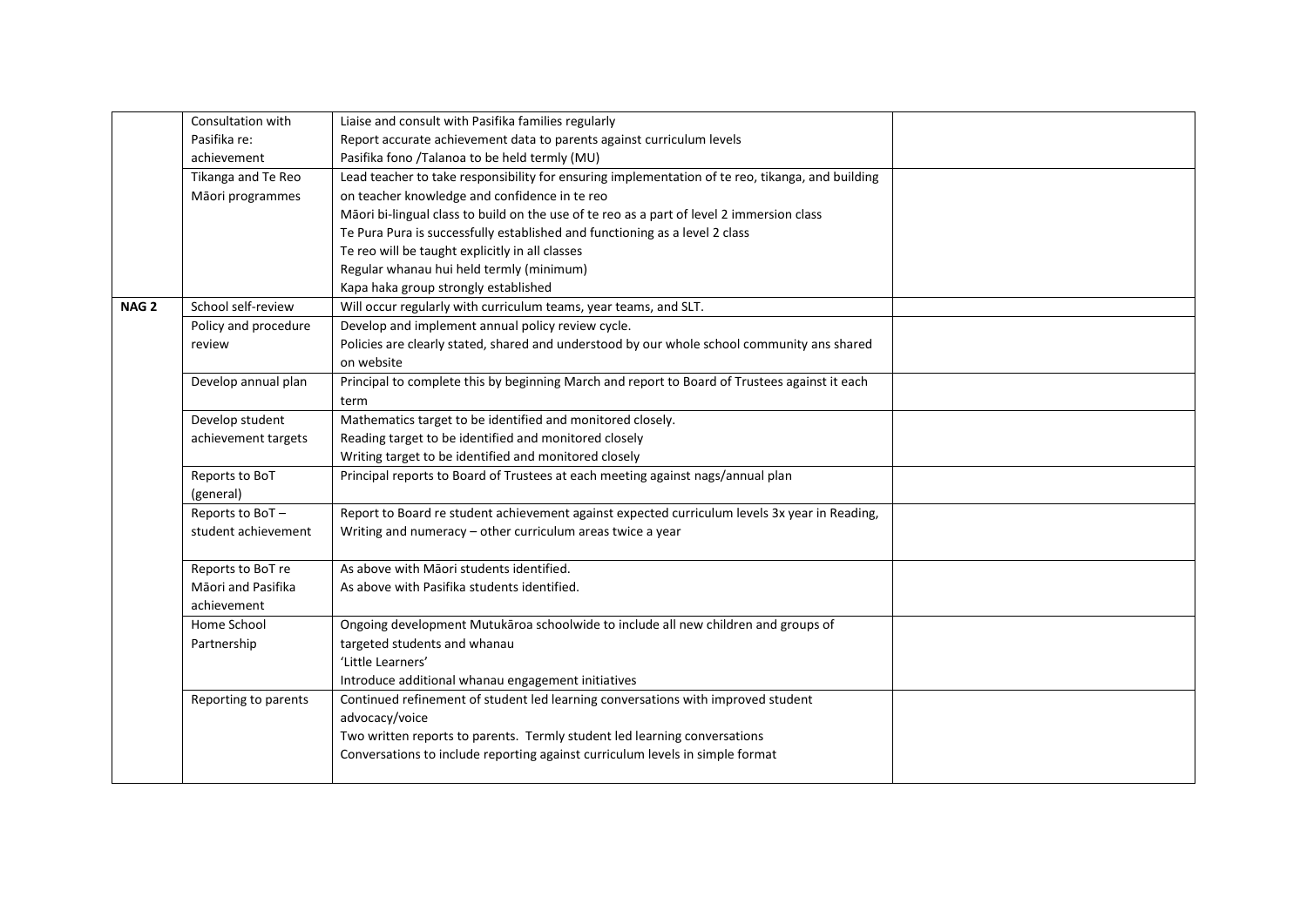|                  | Consultation with    | Liaise and consult with Pasifika families regularly                                              |  |
|------------------|----------------------|--------------------------------------------------------------------------------------------------|--|
|                  | Pasifika re:         | Report accurate achievement data to parents against curriculum levels                            |  |
|                  | achievement          | Pasifika fono /Talanoa to be held termly (MU)                                                    |  |
|                  | Tikanga and Te Reo   | Lead teacher to take responsibility for ensuring implementation of te reo, tikanga, and building |  |
|                  | Māori programmes     | on teacher knowledge and confidence in te reo                                                    |  |
|                  |                      | Māori bi-lingual class to build on the use of te reo as a part of level 2 immersion class        |  |
|                  |                      | Te Pura Pura is successfully established and functioning as a level 2 class                      |  |
|                  |                      | Te reo will be taught explicitly in all classes                                                  |  |
|                  |                      | Regular whanau hui held termly (minimum)                                                         |  |
|                  |                      | Kapa haka group strongly established                                                             |  |
| NAG <sub>2</sub> | School self-review   | Will occur regularly with curriculum teams, year teams, and SLT.                                 |  |
|                  | Policy and procedure | Develop and implement annual policy review cycle.                                                |  |
|                  | review               | Policies are clearly stated, shared and understood by our whole school community ans shared      |  |
|                  |                      | on website                                                                                       |  |
|                  | Develop annual plan  | Principal to complete this by beginning March and report to Board of Trustees against it each    |  |
|                  |                      | term                                                                                             |  |
|                  | Develop student      | Mathematics target to be identified and monitored closely.                                       |  |
|                  | achievement targets  | Reading target to be identified and monitored closely                                            |  |
|                  |                      | Writing target to be identified and monitored closely                                            |  |
|                  | Reports to BoT       | Principal reports to Board of Trustees at each meeting against nags/annual plan                  |  |
|                  | (general)            |                                                                                                  |  |
|                  | Reports to BoT-      | Report to Board re student achievement against expected curriculum levels 3x year in Reading,    |  |
|                  | student achievement  | Writing and numeracy - other curriculum areas twice a year                                       |  |
|                  |                      |                                                                                                  |  |
|                  | Reports to BoT re    | As above with Māori students identified.                                                         |  |
|                  | Māori and Pasifika   | As above with Pasifika students identified.                                                      |  |
|                  | achievement          |                                                                                                  |  |
|                  | Home School          | Ongoing development Mutukaroa schoolwide to include all new children and groups of               |  |
|                  | Partnership          | targeted students and whanau                                                                     |  |
|                  |                      | 'Little Learners'                                                                                |  |
|                  |                      | Introduce additional whanau engagement initiatives                                               |  |
|                  | Reporting to parents | Continued refinement of student led learning conversations with improved student                 |  |
|                  |                      | advocacy/voice                                                                                   |  |
|                  |                      | Two written reports to parents. Termly student led learning conversations                        |  |
|                  |                      | Conversations to include reporting against curriculum levels in simple format                    |  |
|                  |                      |                                                                                                  |  |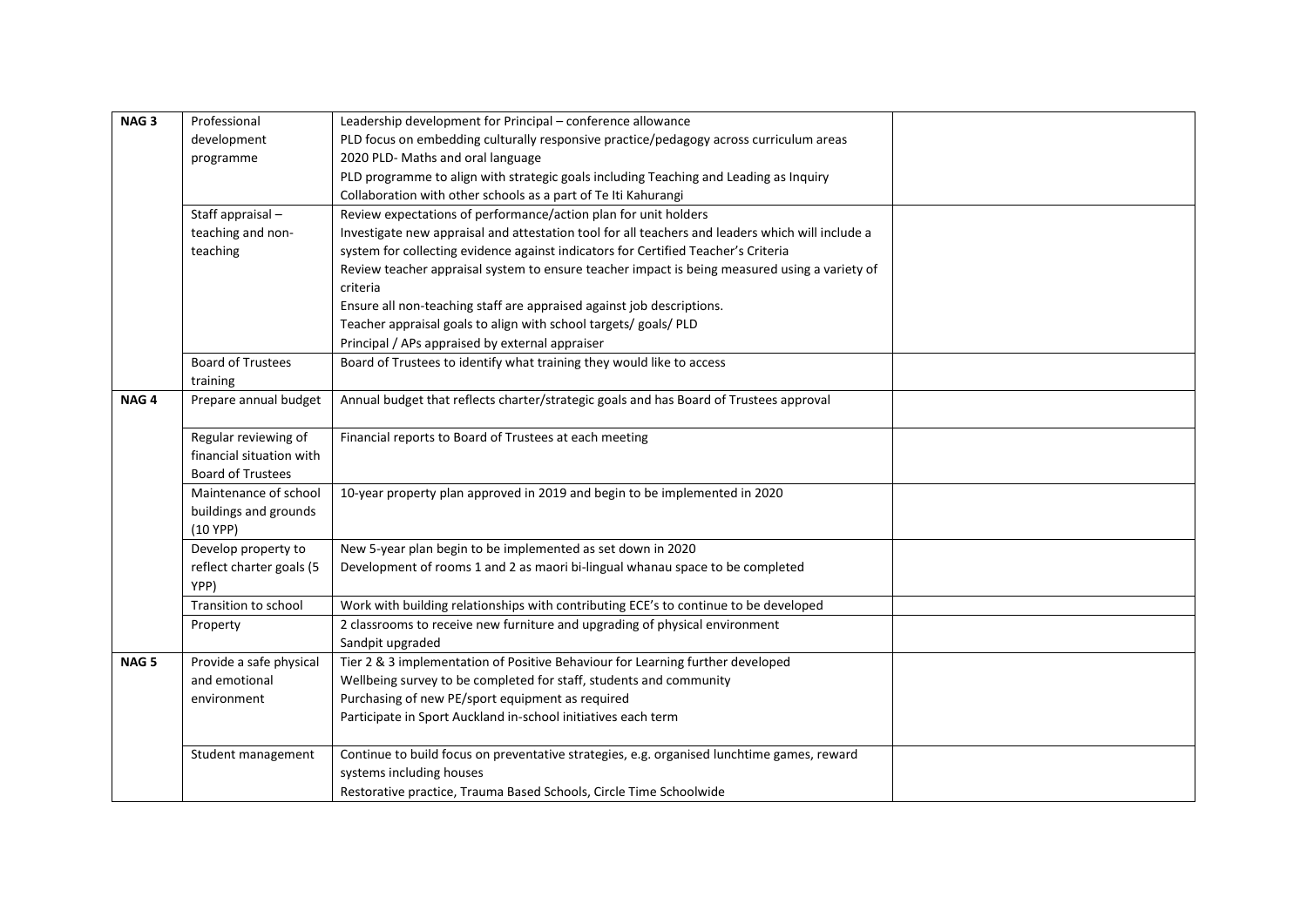| NAG <sub>3</sub> | Professional                     | Leadership development for Principal - conference allowance                                      |  |
|------------------|----------------------------------|--------------------------------------------------------------------------------------------------|--|
|                  | development                      | PLD focus on embedding culturally responsive practice/pedagogy across curriculum areas           |  |
|                  | programme                        | 2020 PLD- Maths and oral language                                                                |  |
|                  |                                  | PLD programme to align with strategic goals including Teaching and Leading as Inquiry            |  |
|                  |                                  | Collaboration with other schools as a part of Te Iti Kahurangi                                   |  |
|                  | Staff appraisal-                 | Review expectations of performance/action plan for unit holders                                  |  |
|                  | teaching and non-                | Investigate new appraisal and attestation tool for all teachers and leaders which will include a |  |
|                  | teaching                         | system for collecting evidence against indicators for Certified Teacher's Criteria               |  |
|                  |                                  | Review teacher appraisal system to ensure teacher impact is being measured using a variety of    |  |
|                  |                                  | criteria                                                                                         |  |
|                  |                                  | Ensure all non-teaching staff are appraised against job descriptions.                            |  |
|                  |                                  | Teacher appraisal goals to align with school targets/ goals/ PLD                                 |  |
|                  |                                  | Principal / APs appraised by external appraiser                                                  |  |
|                  | <b>Board of Trustees</b>         | Board of Trustees to identify what training they would like to access                            |  |
|                  | training                         |                                                                                                  |  |
| NAG <sub>4</sub> | Prepare annual budget            | Annual budget that reflects charter/strategic goals and has Board of Trustees approval           |  |
|                  |                                  |                                                                                                  |  |
|                  | Regular reviewing of             | Financial reports to Board of Trustees at each meeting                                           |  |
|                  | financial situation with         |                                                                                                  |  |
|                  | <b>Board of Trustees</b>         |                                                                                                  |  |
|                  | Maintenance of school            | 10-year property plan approved in 2019 and begin to be implemented in 2020                       |  |
|                  | buildings and grounds            |                                                                                                  |  |
|                  | $(10$ YPP)                       |                                                                                                  |  |
|                  | Develop property to              | New 5-year plan begin to be implemented as set down in 2020                                      |  |
|                  | reflect charter goals (5<br>YPP) | Development of rooms 1 and 2 as maori bi-lingual whanau space to be completed                    |  |
|                  | Transition to school             | Work with building relationships with contributing ECE's to continue to be developed             |  |
|                  | Property                         | 2 classrooms to receive new furniture and upgrading of physical environment                      |  |
|                  |                                  | Sandpit upgraded                                                                                 |  |
| NAG <sub>5</sub> | Provide a safe physical          | Tier 2 & 3 implementation of Positive Behaviour for Learning further developed                   |  |
|                  | and emotional                    | Wellbeing survey to be completed for staff, students and community                               |  |
|                  | environment                      | Purchasing of new PE/sport equipment as required                                                 |  |
|                  |                                  | Participate in Sport Auckland in-school initiatives each term                                    |  |
|                  |                                  |                                                                                                  |  |
|                  | Student management               | Continue to build focus on preventative strategies, e.g. organised lunchtime games, reward       |  |
|                  |                                  | systems including houses                                                                         |  |
|                  |                                  | Restorative practice, Trauma Based Schools, Circle Time Schoolwide                               |  |